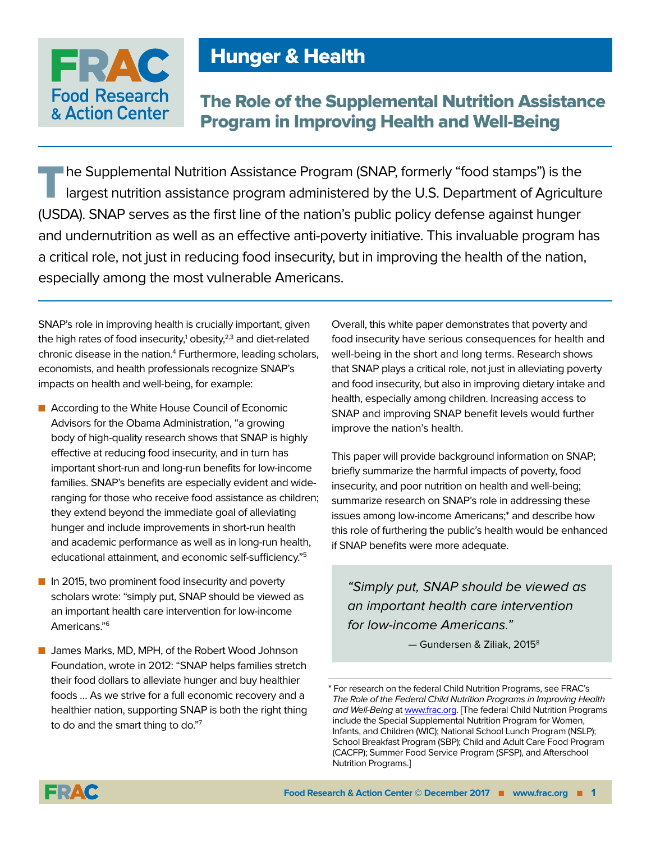# FRAC **Food Research** & Action Center

# Hunger & Health

# The Role of the Supplemental Nutrition Assistance Program in Improving Health and Well-Being

The Supplemental Nutrition Assistance Program (SNAP, formerly "food stamps") is the largest nutrition assistance program administered by the U.S. Department of Agriculture (USDA). SNAP serves as the first line of the nation's public policy defense against hunger and undernutrition as well as an effective anti-poverty initiative. This invaluable program has a critical role, not just in reducing food insecurity, but in improving the health of the nation, especially among the most vulnerable Americans.

SNAP's role in improving health is crucially important, given the high rates of food insecurity,<sup>1</sup> obesity,<sup>2,3</sup> and diet-related chronic disease in the nation.<sup>4</sup> Furthermore, leading scholars, economists, and health professionals recognize SNAP's impacts on health and well-being, for example:

- $\blacksquare$  According to the White House Council of Economic Advisors for the Obama Administration, "a growing body of high-quality research shows that SNAP is highly effective at reducing food insecurity, and in turn has important short-run and long-run benefits for low-income families. SNAP's benefits are especially evident and wideranging for those who receive food assistance as children; they extend beyond the immediate goal of alleviating hunger and include improvements in short-run health and academic performance as well as in long-run health, educational attainment, and economic self-sufficiency."5
- $\blacksquare$  In 2015, two prominent food insecurity and poverty scholars wrote: "simply put, SNAP should be viewed as an important health care intervention for low-income Americans."6
- $\blacksquare$  James Marks, MD, MPH, of the Robert Wood Johnson Foundation, wrote in 2012: "SNAP helps families stretch their food dollars to alleviate hunger and buy healthier foods … As we strive for a full economic recovery and a healthier nation, supporting SNAP is both the right thing to do and the smart thing to do."7

Overall, this white paper demonstrates that poverty and food insecurity have serious consequences for health and well-being in the short and long terms. Research shows that SNAP plays a critical role, not just in alleviating poverty and food insecurity, but also in improving dietary intake and health, especially among children. Increasing access to SNAP and improving SNAP benefit levels would further improve the nation's health.

This paper will provide background information on SNAP; briefly summarize the harmful impacts of poverty, food insecurity, and poor nutrition on health and well-being; summarize research on SNAP's role in addressing these issues among low-income Americans;\* and describe how this role of furthering the public's health would be enhanced if SNAP benefits were more adequate.

"Simply put, SNAP should be viewed as an important health care intervention for low-income Americans."

— Gundersen & Ziliak, 20158



<sup>\*</sup> For research on the federal Child Nutrition Programs, see FRAC's The Role of the Federal Child Nutrition Programs in Improving Health and Well-Being at [www.frac.org](http://www.frac.org). [The federal Child Nutrition Programs include the Special Supplemental Nutrition Program for Women, Infants, and Children (WIC); National School Lunch Program (NSLP); School Breakfast Program (SBP); Child and Adult Care Food Program (CACFP); Summer Food Service Program (SFSP), and Afterschool Nutrition Programs.]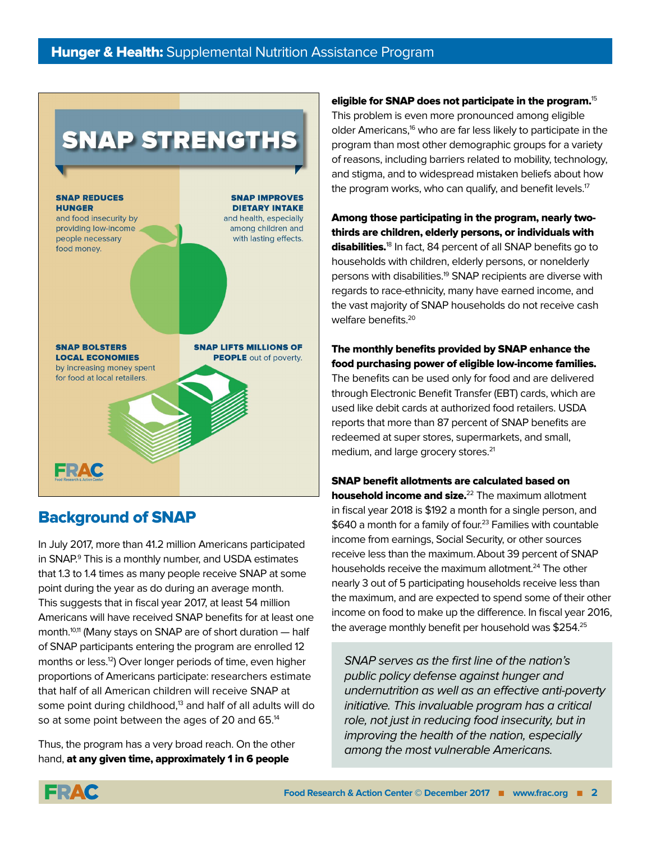

# Background of SNAP

In July 2017, more than 41.2 million Americans participated in SNAP.<sup>9</sup> This is a monthly number, and USDA estimates that 1.3 to 1.4 times as many people receive SNAP at some point during the year as do during an average month. This suggests that in fiscal year 2017, at least 54 million Americans will have received SNAP benefits for at least one month.<sup>10,11</sup> (Many stays on SNAP are of short duration — half of SNAP participants entering the program are enrolled 12 months or less.12) Over longer periods of time, even higher proportions of Americans participate: researchers estimate that half of all American children will receive SNAP at some point during childhood,<sup>13</sup> and half of all adults will do so at some point between the ages of 20 and 65.<sup>14</sup>

Thus, the program has a very broad reach. On the other hand, at any given time, approximately 1 in 6 people

eligible for SNAP does not participate in the program. $15$ This problem is even more pronounced among eligible

older Americans,<sup>16</sup> who are far less likely to participate in the program than most other demographic groups for a variety of reasons, including barriers related to mobility, technology, and stigma, and to widespread mistaken beliefs about how the program works, who can qualify, and benefit levels. $17$ 

Among those participating in the program, nearly twothirds are children, elderly persons, or individuals with disabilities.<sup>18</sup> In fact, 84 percent of all SNAP benefits go to households with children, elderly persons, or nonelderly persons with disabilities.<sup>19</sup> SNAP recipients are diverse with regards to race-ethnicity, many have earned income, and the vast majority of SNAP households do not receive cash welfare benefits.20

The monthly benefits provided by SNAP enhance the food purchasing power of eligible low-income families. The benefits can be used only for food and are delivered through Electronic Benefit Transfer (EBT) cards, which are used like debit cards at authorized food retailers. USDA reports that more than 87 percent of SNAP benefits are redeemed at super stores, supermarkets, and small, medium, and large grocery stores.<sup>21</sup>

SNAP benefit allotments are calculated based on household income and size.<sup>22</sup> The maximum allotment in fiscal year 2018 is \$192 a month for a single person, and \$640 a month for a family of four.<sup>23</sup> Families with countable income from earnings, Social Security, or other sources receive less than the maximum.About 39 percent of SNAP households receive the maximum allotment.<sup>24</sup> The other nearly 3 out of 5 participating households receive less than the maximum, and are expected to spend some of their other income on food to make up the difference. In fiscal year 2016, the average monthly benefit per household was \$254.<sup>25</sup>

SNAP serves as the first line of the nation's public policy defense against hunger and undernutrition as well as an effective anti-poverty initiative. This invaluable program has a critical role, not just in reducing food insecurity, but in improving the health of the nation, especially among the most vulnerable Americans.

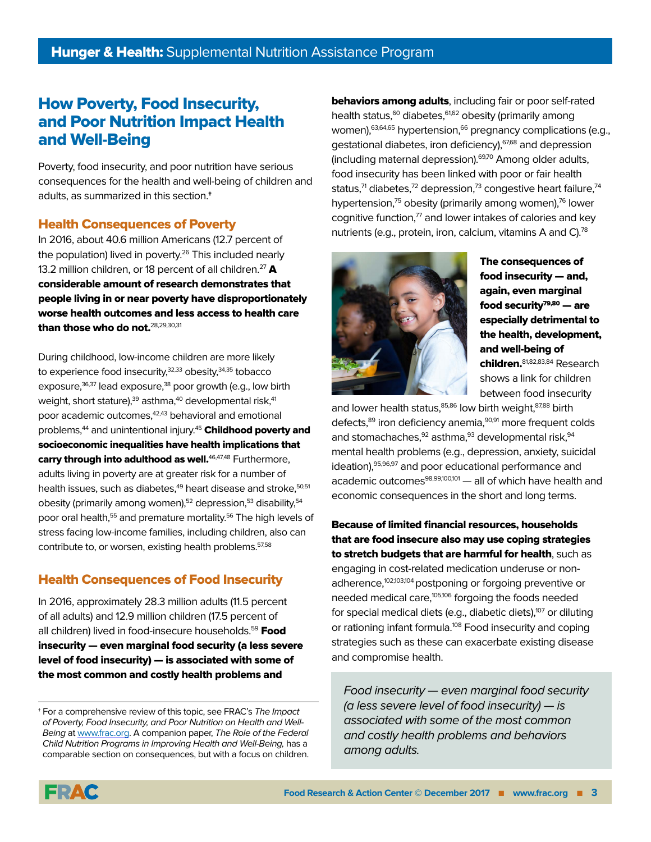# How Poverty, Food Insecurity, and Poor Nutrition Impact Health and Well-Being

Poverty, food insecurity, and poor nutrition have serious consequences for the health and well-being of children and adults, as summarized in this section.†

## Health Consequences of Poverty

In 2016, about 40.6 million Americans (12.7 percent of the population) lived in poverty.<sup>26</sup> This included nearly 13.2 million children, or 18 percent of all children.<sup>27</sup>  $\blacktriangle$ considerable amount of research demonstrates that people living in or near poverty have disproportionately worse health outcomes and less access to health care than those who do not.<sup>28,29,30,31</sup>

During childhood, low-income children are more likely to experience food insecurity, $32,33$  obesity, $34,35$  tobacco exposure,<sup>36,37</sup> lead exposure,<sup>38</sup> poor growth (e.g., low birth weight, short stature), $39$  asthma, $40$  developmental risk, $41$ poor academic outcomes,<sup>42,43</sup> behavioral and emotional problems,<sup>44</sup> and unintentional injury.<sup>45</sup> Childhood poverty and socioeconomic inequalities have health implications that carry through into adulthood as well.<sup>46,47,48</sup> Furthermore, adults living in poverty are at greater risk for a number of health issues, such as diabetes,<sup>49</sup> heart disease and stroke,<sup>50,51</sup> obesity (primarily among women),<sup>52</sup> depression,<sup>53</sup> disability,<sup>54</sup> poor oral health,<sup>55</sup> and premature mortality.<sup>56</sup> The high levels of stress facing low-income families, including children, also can contribute to, or worsen, existing health problems.<sup>57,58</sup>

## Health Consequences of Food Insecurity

In 2016, approximately 28.3 million adults (11.5 percent of all adults) and 12.9 million children (17.5 percent of all children) lived in food-insecure households.<sup>59</sup> Food insecurity — even marginal food security (a less severe level of food insecurity) — is associated with some of the most common and costly health problems and

behaviors among adults, including fair or poor self-rated health status,<sup>60</sup> diabetes,<sup>61,62</sup> obesity (primarily among women),<sup>63,64,65</sup> hypertension,<sup>66</sup> pregnancy complications (e.g., gestational diabetes, iron deficiency),<sup>67,68</sup> and depression (including maternal depression).69,70 Among older adults, food insecurity has been linked with poor or fair health status, $71$  diabetes, $72$  depression, $73$  congestive heart failure, $74$ hypertension, $75$  obesity (primarily among women), $76$  lower cognitive function, $77$  and lower intakes of calories and key nutrients (e.g., protein, iron, calcium, vitamins A and C).<sup>78</sup>



The consequences of food insecurity — and, again, even marginal food security $79,80$  – are especially detrimental to the health, development, and well-being of children.<sup>81,82,83,84</sup> Research shows a link for children between food insecurity

and lower health status, 85,86 low birth weight, 87,88 birth defects,<sup>89</sup> iron deficiency anemia,<sup>90,91</sup> more frequent colds and stomachaches,<sup>92</sup> asthma,<sup>93</sup> developmental risk,<sup>94</sup> mental health problems (e.g., depression, anxiety, suicidal ideation),<sup>95,96,97</sup> and poor educational performance and academic outcomes<sup>98,99,100,101</sup> — all of which have health and economic consequences in the short and long terms.

Because of limited financial resources, households that are food insecure also may use coping strategies to stretch budgets that are harmful for health, such as engaging in cost-related medication underuse or nonadherence,<sup>102,103,104</sup> postponing or forgoing preventive or needed medical care,<sup>105,106</sup> forgoing the foods needed for special medical diets (e.g., diabetic diets),<sup>107</sup> or diluting or rationing infant formula.<sup>108</sup> Food insecurity and coping strategies such as these can exacerbate existing disease and compromise health.

Food insecurity — even marginal food security (a less severe level of food insecurity) — is associated with some of the most common and costly health problems and behaviors among adults.



<sup>&</sup>lt;sup>+</sup> For a comprehensive review of this topic, see FRAC's The Impact of Poverty, Food Insecurity, and Poor Nutrition on Health and Well-Being at [www.frac.org.](http://www.frac.org) A companion paper, The Role of the Federal Child Nutrition Programs in Improving Health and Well-Being, has a comparable section on consequences, but with a focus on children.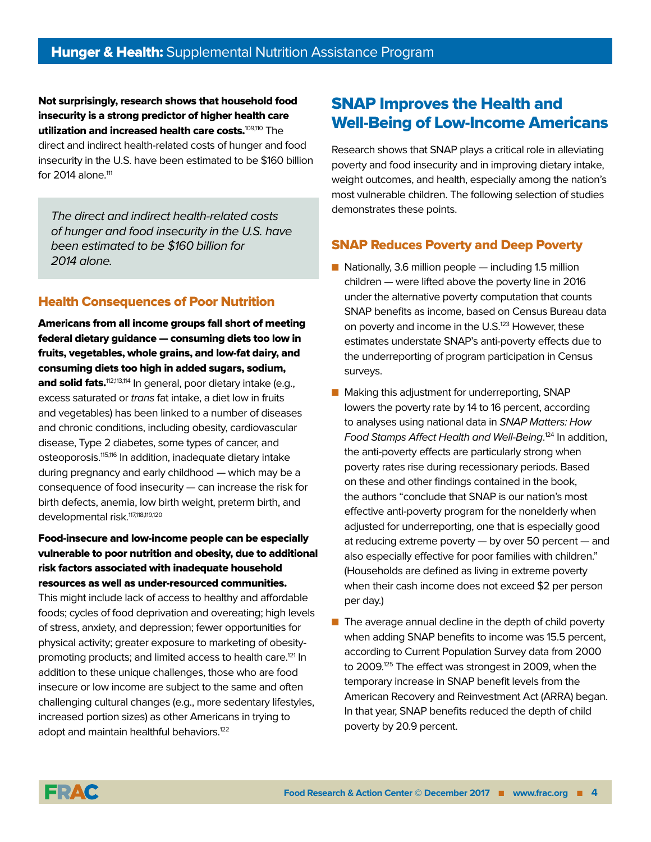Not surprisingly, research shows that household food insecurity is a strong predictor of higher health care utilization and increased health care costs.<sup>109,110</sup> The direct and indirect health-related costs of hunger and food insecurity in the U.S. have been estimated to be \$160 billion for  $2014$  alone  $111$ 

The direct and indirect health-related costs of hunger and food insecurity in the U.S. have been estimated to be \$160 billion for 2014 alone.

## Health Consequences of Poor Nutrition

Americans from all income groups fall short of meeting federal dietary guidance — consuming diets too low in fruits, vegetables, whole grains, and low-fat dairy, and consuming diets too high in added sugars, sodium, and solid fats.<sup>112,113,114</sup> In general, poor dietary intake (e.g., excess saturated or trans fat intake, a diet low in fruits and vegetables) has been linked to a number of diseases and chronic conditions, including obesity, cardiovascular disease, Type 2 diabetes, some types of cancer, and osteoporosis.115,116 In addition, inadequate dietary intake during pregnancy and early childhood — which may be a consequence of food insecurity — can increase the risk for birth defects, anemia, low birth weight, preterm birth, and developmental risk.<sup>117,118,119,120</sup>

### Food-insecure and low-income people can be especially vulnerable to poor nutrition and obesity, due to additional risk factors associated with inadequate household resources as well as under-resourced communities.

This might include lack of access to healthy and affordable foods; cycles of food deprivation and overeating; high levels of stress, anxiety, and depression; fewer opportunities for physical activity; greater exposure to marketing of obesitypromoting products; and limited access to health care.<sup>121</sup> In addition to these unique challenges, those who are food insecure or low income are subject to the same and often challenging cultural changes (e.g., more sedentary lifestyles, increased portion sizes) as other Americans in trying to adopt and maintain healthful behaviors.<sup>122</sup>

# SNAP Improves the Health and Well-Being of Low-Income Americans

Research shows that SNAP plays a critical role in alleviating poverty and food insecurity and in improving dietary intake, weight outcomes, and health, especially among the nation's most vulnerable children. The following selection of studies demonstrates these points.

## SNAP Reduces Poverty and Deep Poverty

- $\blacksquare$  Nationally, 3.6 million people including 1.5 million children — were lifted above the poverty line in 2016 under the alternative poverty computation that counts SNAP benefits as income, based on Census Bureau data on poverty and income in the U.S.<sup>123</sup> However, these estimates understate SNAP's anti-poverty effects due to the underreporting of program participation in Census surveys.
- $\blacksquare$  Making this adjustment for underreporting, SNAP lowers the poverty rate by 14 to 16 percent, according to analyses using national data in SNAP Matters: How Food Stamps Affect Health and Well-Being.<sup>124</sup> In addition, the anti-poverty effects are particularly strong when poverty rates rise during recessionary periods. Based on these and other findings contained in the book, the authors "conclude that SNAP is our nation's most effective anti-poverty program for the nonelderly when adjusted for underreporting, one that is especially good at reducing extreme poverty — by over 50 percent — and also especially effective for poor families with children." (Households are defined as living in extreme poverty when their cash income does not exceed \$2 per person per day.)
- $\blacksquare$  The average annual decline in the depth of child poverty when adding SNAP benefits to income was 15.5 percent, according to Current Population Survey data from 2000 to 2009.<sup>125</sup> The effect was strongest in 2009, when the temporary increase in SNAP benefit levels from the American Recovery and Reinvestment Act (ARRA) began. In that year, SNAP benefits reduced the depth of child poverty by 20.9 percent.

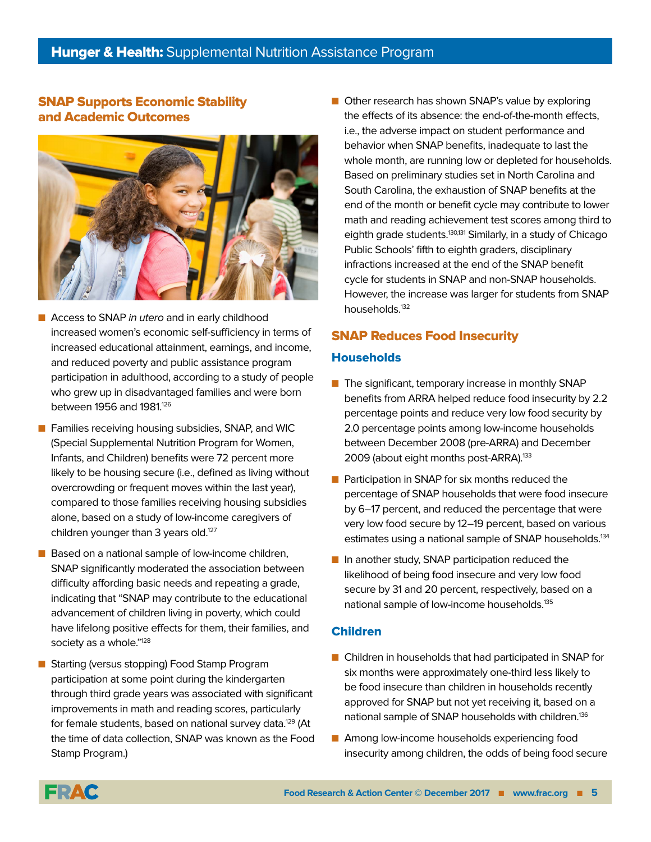## SNAP Supports Economic Stability and Academic Outcomes



- $\blacksquare$  Access to SNAP in utero and in early childhood increased women's economic self-sufficiency in terms of increased educational attainment, earnings, and income, and reduced poverty and public assistance program participation in adulthood, according to a study of people who grew up in disadvantaged families and were born between 1956 and 1981.126
- $\blacksquare$  Families receiving housing subsidies, SNAP, and WIC (Special Supplemental Nutrition Program for Women, Infants, and Children) benefits were 72 percent more likely to be housing secure (i.e., defined as living without overcrowding or frequent moves within the last year), compared to those families receiving housing subsidies alone, based on a study of low-income caregivers of children younger than 3 years old.<sup>127</sup>
- $\blacksquare$  Based on a national sample of low-income children, SNAP significantly moderated the association between difficulty affording basic needs and repeating a grade, indicating that "SNAP may contribute to the educational advancement of children living in poverty, which could have lifelong positive effects for them, their families, and society as a whole."<sup>128</sup>
- Starting (versus stopping) Food Stamp Program participation at some point during the kindergarten through third grade years was associated with significant improvements in math and reading scores, particularly for female students, based on national survey data.<sup>129</sup> (At the time of data collection, SNAP was known as the Food Stamp Program.)

 $\blacksquare$  Other research has shown SNAP's value by exploring the effects of its absence: the end-of-the-month effects, i.e., the adverse impact on student performance and behavior when SNAP benefits, inadequate to last the whole month, are running low or depleted for households. Based on preliminary studies set in North Carolina and South Carolina, the exhaustion of SNAP benefits at the end of the month or benefit cycle may contribute to lower math and reading achievement test scores among third to eighth grade students.<sup>130,131</sup> Similarly, in a study of Chicago Public Schools' fifth to eighth graders, disciplinary infractions increased at the end of the SNAP benefit cycle for students in SNAP and non-SNAP households. However, the increase was larger for students from SNAP households.132

## SNAP Reduces Food Insecurity

#### **Households**

- $\blacksquare$  The significant, temporary increase in monthly SNAP benefits from ARRA helped reduce food insecurity by 2.2 percentage points and reduce very low food security by 2.0 percentage points among low-income households between December 2008 (pre-ARRA) and December 2009 (about eight months post-ARRA).<sup>133</sup>
- $\blacksquare$  Participation in SNAP for six months reduced the percentage of SNAP households that were food insecure by 6–17 percent, and reduced the percentage that were very low food secure by 12–19 percent, based on various estimates using a national sample of SNAP households.<sup>134</sup>
- $\blacksquare$  In another study, SNAP participation reduced the likelihood of being food insecure and very low food secure by 31 and 20 percent, respectively, based on a national sample of low-income households.<sup>135</sup>

### Children

- $\blacksquare$  Children in households that had participated in SNAP for six months were approximately one-third less likely to be food insecure than children in households recently approved for SNAP but not yet receiving it, based on a national sample of SNAP households with children.<sup>136</sup>
- $\blacksquare$  Among low-income households experiencing food insecurity among children, the odds of being food secure

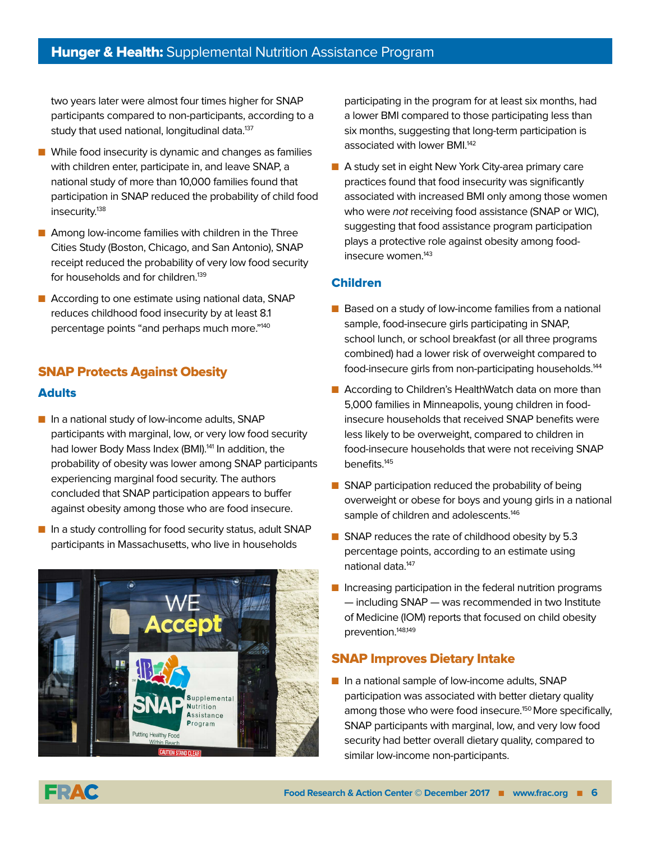two years later were almost four times higher for SNAP participants compared to non-participants, according to a study that used national, longitudinal data.<sup>137</sup>

- $\blacksquare$  While food insecurity is dynamic and changes as families with children enter, participate in, and leave SNAP, a national study of more than 10,000 families found that participation in SNAP reduced the probability of child food insecurity.<sup>138</sup>
- $\blacksquare$  Among low-income families with children in the Three Cities Study (Boston, Chicago, and San Antonio), SNAP receipt reduced the probability of very low food security for households and for children.<sup>139</sup>
- $\blacksquare$  According to one estimate using national data, SNAP reduces childhood food insecurity by at least 8.1 percentage points "and perhaps much more."140

# SNAP Protects Against Obesity **Adults**

- $\blacksquare$  In a national study of low-income adults, SNAP participants with marginal, low, or very low food security had lower Body Mass Index (BMI).<sup>141</sup> In addition, the probability of obesity was lower among SNAP participants experiencing marginal food security. The authors concluded that SNAP participation appears to buffer against obesity among those who are food insecure.
- $\blacksquare$  In a study controlling for food security status, adult SNAP participants in Massachusetts, who live in households



participating in the program for at least six months, had a lower BMI compared to those participating less than six months, suggesting that long-term participation is associated with lower BMI.142

 $\blacksquare$  A study set in eight New York City-area primary care practices found that food insecurity was significantly associated with increased BMI only among those women who were not receiving food assistance (SNAP or WIC), suggesting that food assistance program participation plays a protective role against obesity among foodinsecure women.<sup>143</sup>

## Children

- $\blacksquare$  Based on a study of low-income families from a national sample, food-insecure girls participating in SNAP, school lunch, or school breakfast (or all three programs combined) had a lower risk of overweight compared to food-insecure girls from non-participating households.144
- $\blacksquare$  According to Children's HealthWatch data on more than 5,000 families in Minneapolis, young children in foodinsecure households that received SNAP benefits were less likely to be overweight, compared to children in food-insecure households that were not receiving SNAP benefits.145
- $\blacksquare$  SNAP participation reduced the probability of being overweight or obese for boys and young girls in a national sample of children and adolescents.<sup>146</sup>
- $\blacksquare$  SNAP reduces the rate of childhood obesity by 5.3 percentage points, according to an estimate using national data.<sup>147</sup>
- $\blacksquare$  Increasing participation in the federal nutrition programs — including SNAP — was recommended in two Institute of Medicine (IOM) reports that focused on child obesity prevention.148,149

#### SNAP Improves Dietary Intake

 $\blacksquare$  In a national sample of low-income adults, SNAP participation was associated with better dietary quality among those who were food insecure.<sup>150</sup> More specifically, SNAP participants with marginal, low, and very low food security had better overall dietary quality, compared to similar low-income non-participants.

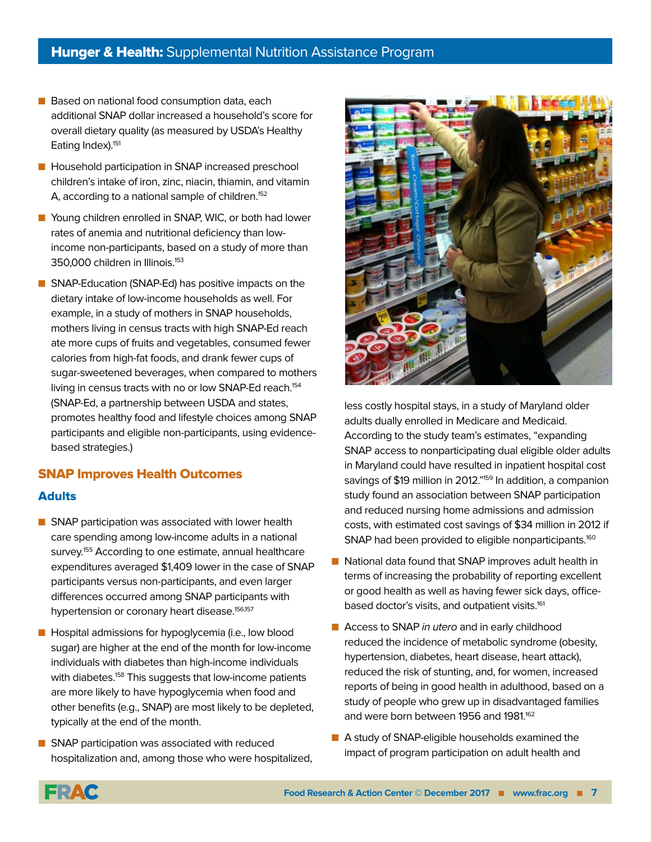## **Hunger & Health:** Supplemental Nutrition Assistance Program

- $\blacksquare$  Based on national food consumption data, each additional SNAP dollar increased a household's score for overall dietary quality (as measured by USDA's Healthy Eating Index).<sup>151</sup>
- $\blacksquare$  Household participation in SNAP increased preschool children's intake of iron, zinc, niacin, thiamin, and vitamin A, according to a national sample of children.<sup>152</sup>
- Young children enrolled in SNAP, WIC, or both had lower rates of anemia and nutritional deficiency than lowincome non-participants, based on a study of more than 350,000 children in Illinois.153
- $\blacksquare$  SNAP-Education (SNAP-Ed) has positive impacts on the dietary intake of low-income households as well. For example, in a study of mothers in SNAP households, mothers living in census tracts with high SNAP-Ed reach ate more cups of fruits and vegetables, consumed fewer calories from high-fat foods, and drank fewer cups of sugar-sweetened beverages, when compared to mothers living in census tracts with no or low SNAP-Ed reach.<sup>154</sup> (SNAP-Ed, a partnership between USDA and states, promotes healthy food and lifestyle choices among SNAP participants and eligible non-participants, using evidencebased strategies.)

## SNAP Improves Health Outcomes

#### Adults

- $\blacksquare$  SNAP participation was associated with lower health care spending among low-income adults in a national survey.<sup>155</sup> According to one estimate, annual healthcare expenditures averaged \$1,409 lower in the case of SNAP participants versus non-participants, and even larger differences occurred among SNAP participants with hypertension or coronary heart disease.<sup>156,157</sup>
- $\blacksquare$  Hospital admissions for hypoglycemia (i.e., low blood sugar) are higher at the end of the month for low-income individuals with diabetes than high-income individuals with diabetes.<sup>158</sup> This suggests that low-income patients are more likely to have hypoglycemia when food and other benefits (e.g., SNAP) are most likely to be depleted, typically at the end of the month.
- $\blacksquare$  SNAP participation was associated with reduced hospitalization and, among those who were hospitalized,



less costly hospital stays, in a study of Maryland older adults dually enrolled in Medicare and Medicaid. According to the study team's estimates, "expanding SNAP access to nonparticipating dual eligible older adults in Maryland could have resulted in inpatient hospital cost savings of \$19 million in 2012."<sup>159</sup> In addition, a companion study found an association between SNAP participation and reduced nursing home admissions and admission costs, with estimated cost savings of \$34 million in 2012 if SNAP had been provided to eligible nonparticipants.<sup>160</sup>

- $\blacksquare$  National data found that SNAP improves adult health in terms of increasing the probability of reporting excellent or good health as well as having fewer sick days, officebased doctor's visits, and outpatient visits.<sup>161</sup>
- $\blacksquare$  Access to SNAP in utero and in early childhood reduced the incidence of metabolic syndrome (obesity, hypertension, diabetes, heart disease, heart attack), reduced the risk of stunting, and, for women, increased reports of being in good health in adulthood, based on a study of people who grew up in disadvantaged families and were born between 1956 and 1981.<sup>162</sup>
- $\blacksquare$  A study of SNAP-eligible households examined the impact of program participation on adult health and

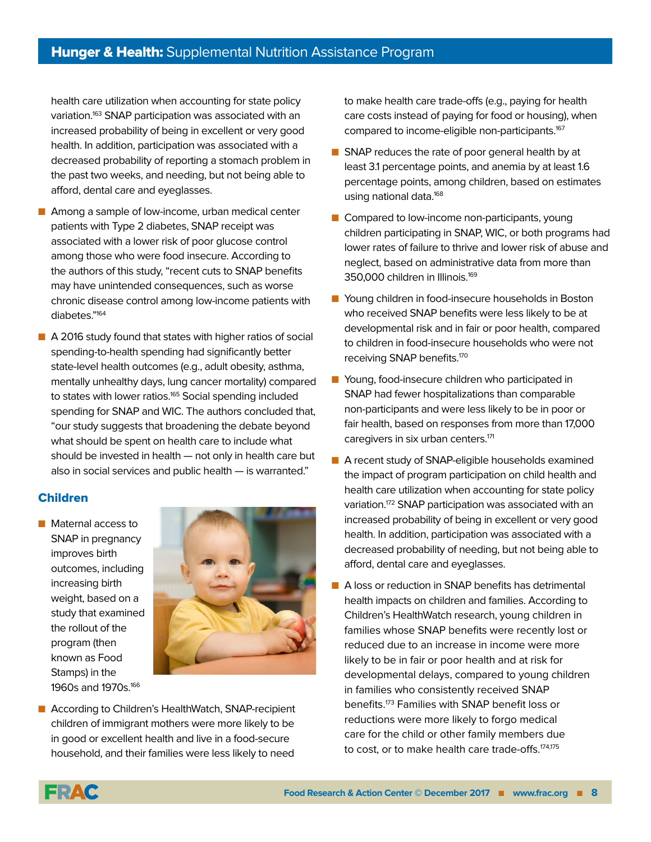## **Hunger & Health:** Supplemental Nutrition Assistance Program

health care utilization when accounting for state policy variation.163 SNAP participation was associated with an increased probability of being in excellent or very good health. In addition, participation was associated with a decreased probability of reporting a stomach problem in the past two weeks, and needing, but not being able to afford, dental care and eyeglasses.

- $\blacksquare$  Among a sample of low-income, urban medical center patients with Type 2 diabetes, SNAP receipt was associated with a lower risk of poor glucose control among those who were food insecure. According to the authors of this study, "recent cuts to SNAP benefits may have unintended consequences, such as worse chronic disease control among low-income patients with diabetes."164
- $\blacksquare$  A 2016 study found that states with higher ratios of social spending-to-health spending had significantly better state-level health outcomes (e.g., adult obesity, asthma, mentally unhealthy days, lung cancer mortality) compared to states with lower ratios.<sup>165</sup> Social spending included spending for SNAP and WIC. The authors concluded that, "our study suggests that broadening the debate beyond what should be spent on health care to include what should be invested in health — not only in health care but also in social services and public health — is warranted."

### Children

 $\blacksquare$  Maternal access to SNAP in pregnancy improves birth outcomes, including increasing birth weight, based on a study that examined the rollout of the program (then known as Food Stamps) in the 1960s and 1970s.166



■ According to Children's HealthWatch, SNAP-recipient children of immigrant mothers were more likely to be in good or excellent health and live in a food-secure household, and their families were less likely to need

to make health care trade-offs (e.g., paying for health care costs instead of paying for food or housing), when compared to income-eligible non-participants.<sup>167</sup>

- $\blacksquare$  SNAP reduces the rate of poor general health by at least 3.1 percentage points, and anemia by at least 1.6 percentage points, among children, based on estimates using national data.<sup>168</sup>
- $\blacksquare$  Compared to low-income non-participants, young children participating in SNAP, WIC, or both programs had lower rates of failure to thrive and lower risk of abuse and neglect, based on administrative data from more than 350,000 children in Illinois.169
- Young children in food-insecure households in Boston who received SNAP benefits were less likely to be at developmental risk and in fair or poor health, compared to children in food-insecure households who were not receiving SNAP benefits.170
- $\blacksquare$  Young, food-insecure children who participated in SNAP had fewer hospitalizations than comparable non-participants and were less likely to be in poor or fair health, based on responses from more than 17,000 caregivers in six urban centers.<sup>171</sup>
- $\blacksquare$  A recent study of SNAP-eligible households examined the impact of program participation on child health and health care utilization when accounting for state policy variation.172 SNAP participation was associated with an increased probability of being in excellent or very good health. In addition, participation was associated with a decreased probability of needing, but not being able to afford, dental care and eyeglasses.
- $\blacksquare$  A loss or reduction in SNAP benefits has detrimental health impacts on children and families. According to Children's HealthWatch research, young children in families whose SNAP benefits were recently lost or reduced due to an increase in income were more likely to be in fair or poor health and at risk for developmental delays, compared to young children in families who consistently received SNAP benefits.173 Families with SNAP benefit loss or reductions were more likely to forgo medical care for the child or other family members due to cost, or to make health care trade-offs.<sup>174,175</sup>

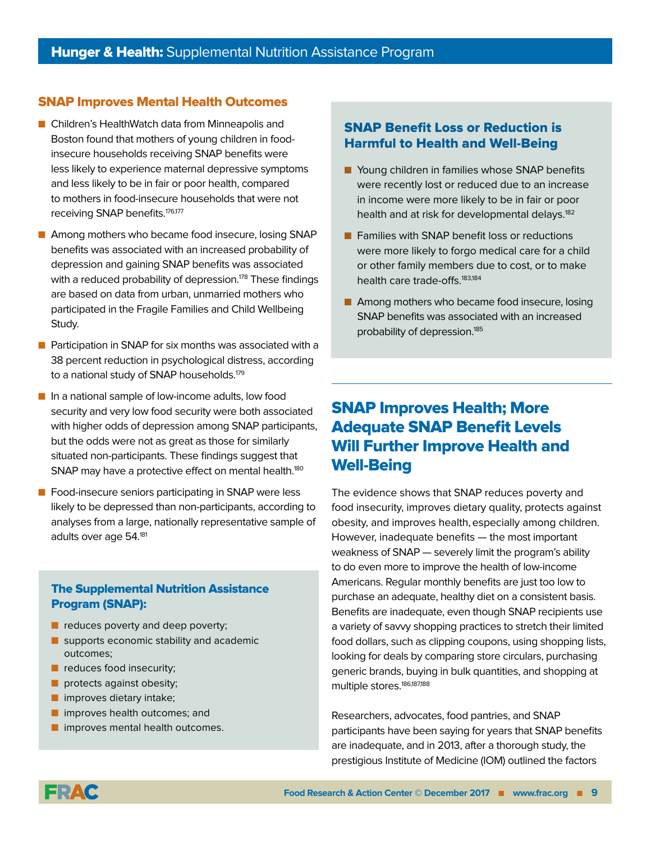#### SNAP Improves Mental Health Outcomes

- Children's HealthWatch data from Minneapolis and Boston found that mothers of young children in foodinsecure households receiving SNAP benefits were less likely to experience maternal depressive symptoms and less likely to be in fair or poor health, compared to mothers in food-insecure households that were not receiving SNAP benefits.176,177
- $\blacksquare$  Among mothers who became food insecure, losing SNAP benefits was associated with an increased probability of depression and gaining SNAP benefits was associated with a reduced probability of depression.<sup>178</sup> These findings are based on data from urban, unmarried mothers who participated in the Fragile Families and Child Wellbeing Study.
- $\blacksquare$  Participation in SNAP for six months was associated with a 38 percent reduction in psychological distress, according to a national study of SNAP households.<sup>179</sup>
- $\blacksquare$  In a national sample of low-income adults, low food security and very low food security were both associated with higher odds of depression among SNAP participants, but the odds were not as great as those for similarly situated non-participants. These findings suggest that SNAP may have a protective effect on mental health.<sup>180</sup>
- $\blacksquare$  Food-insecure seniors participating in SNAP were less likely to be depressed than non-participants, according to analyses from a large, nationally representative sample of adults over age 54.<sup>181</sup>

#### The Supplemental Nutrition Assistance Program (SNAP):

- $\blacksquare$  reduces poverty and deep poverty;
- $\blacksquare$  supports economic stability and academic outcomes;
- $\blacksquare$  reduces food insecurity;
- $\blacksquare$  protects against obesity;
- $\blacksquare$  improves dietary intake;
- $\blacksquare$  improves health outcomes; and
- $\blacksquare$  improves mental health outcomes.

## SNAP Benefit Loss or Reduction is Harmful to Health and Well-Being

- Young children in families whose SNAP benefits were recently lost or reduced due to an increase in income were more likely to be in fair or poor health and at risk for developmental delays.<sup>182</sup>
- Families with SNAP benefit loss or reductions were more likely to forgo medical care for a child or other family members due to cost, or to make health care trade-offs.<sup>183,184</sup>
- $\blacksquare$  Among mothers who became food insecure, losing SNAP benefits was associated with an increased probability of depression.<sup>185</sup>

# SNAP Improves Health; More Adequate SNAP Benefit Levels Will Further Improve Health and Well-Being

The evidence shows that SNAP reduces poverty and food insecurity, improves dietary quality, protects against obesity, and improves health,especially among children. However, inadequate benefits — the most important weakness of SNAP — severely limit the program's ability to do even more to improve the health of low-income Americans. Regular monthly benefits are just too low to purchase an adequate, healthy diet on a consistent basis. Benefits are inadequate, even though SNAP recipients use a variety of savvy shopping practices to stretch their limited food dollars, such as clipping coupons, using shopping lists, looking for deals by comparing store circulars, purchasing generic brands, buying in bulk quantities, and shopping at multiple stores.186,187,188

Researchers, advocates, food pantries, and SNAP participants have been saying for years that SNAP benefits are inadequate, and in 2013, after a thorough study, the prestigious Institute of Medicine (IOM) outlined the factors

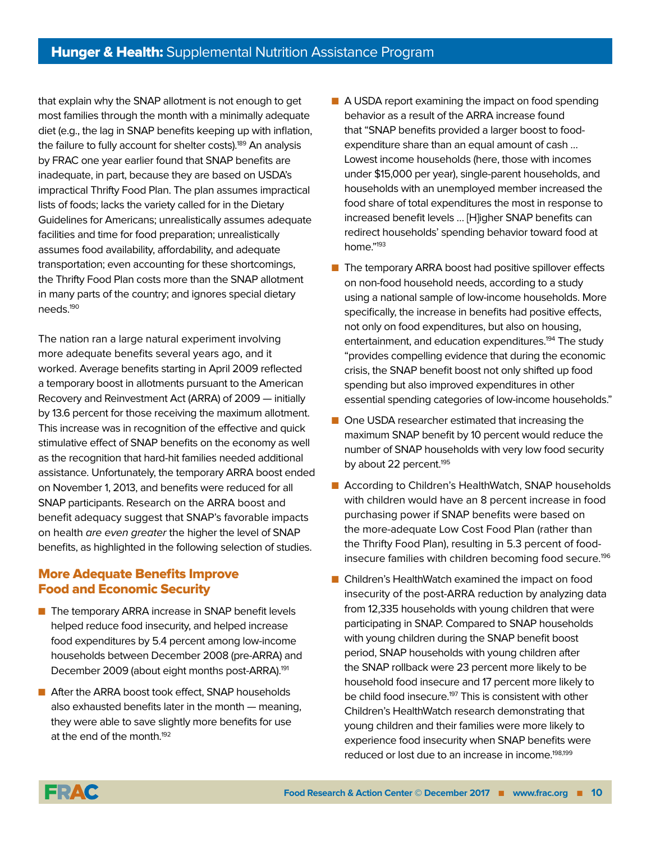that explain why the SNAP allotment is not enough to get most families through the month with a minimally adequate diet (e.g., the lag in SNAP benefits keeping up with inflation, the failure to fully account for shelter costs).<sup>189</sup> An analysis by FRAC one year earlier found that SNAP benefits are inadequate, in part, because they are based on USDA's impractical Thrifty Food Plan. The plan assumes impractical lists of foods; lacks the variety called for in the Dietary Guidelines for Americans; unrealistically assumes adequate facilities and time for food preparation; unrealistically assumes food availability, affordability, and adequate transportation; even accounting for these shortcomings, the Thrifty Food Plan costs more than the SNAP allotment in many parts of the country; and ignores special dietary needs.190

The nation ran a large natural experiment involving more adequate benefits several years ago, and it worked. Average benefits starting in April 2009 reflected a temporary boost in allotments pursuant to the American Recovery and Reinvestment Act (ARRA) of 2009 — initially by 13.6 percent for those receiving the maximum allotment. This increase was in recognition of the effective and quick stimulative effect of SNAP benefits on the economy as well as the recognition that hard-hit families needed additional assistance. Unfortunately, the temporary ARRA boost ended on November 1, 2013, and benefits were reduced for all SNAP participants. Research on the ARRA boost and benefit adequacy suggest that SNAP's favorable impacts on health are even greater the higher the level of SNAP benefits, as highlighted in the following selection of studies.

## More Adequate Benefits Improve Food and Economic Security

- $\blacksquare$  The temporary ARRA increase in SNAP benefit levels helped reduce food insecurity, and helped increase food expenditures by 5.4 percent among low-income households between December 2008 (pre-ARRA) and December 2009 (about eight months post-ARRA).<sup>191</sup>
- n After the ARRA boost took effect. SNAP households also exhausted benefits later in the month — meaning, they were able to save slightly more benefits for use at the end of the month.192
- $\blacksquare$  A USDA report examining the impact on food spending behavior as a result of the ARRA increase found that "SNAP benefits provided a larger boost to foodexpenditure share than an equal amount of cash … Lowest income households (here, those with incomes under \$15,000 per year), single-parent households, and households with an unemployed member increased the food share of total expenditures the most in response to increased benefit levels … [H]igher SNAP benefits can redirect households' spending behavior toward food at home."193
- $\blacksquare$  The temporary ARRA boost had positive spillover effects on non-food household needs, according to a study using a national sample of low-income households. More specifically, the increase in benefits had positive effects, not only on food expenditures, but also on housing, entertainment, and education expenditures.<sup>194</sup> The study "provides compelling evidence that during the economic crisis, the SNAP benefit boost not only shifted up food spending but also improved expenditures in other essential spending categories of low-income households."
- $\blacksquare$  One USDA researcher estimated that increasing the maximum SNAP benefit by 10 percent would reduce the number of SNAP households with very low food security by about 22 percent.<sup>195</sup>
- According to Children's HealthWatch, SNAP households with children would have an 8 percent increase in food purchasing power if SNAP benefits were based on the more-adequate Low Cost Food Plan (rather than the Thrifty Food Plan), resulting in 5.3 percent of foodinsecure families with children becoming food secure.<sup>196</sup>
- Children's HealthWatch examined the impact on food insecurity of the post-ARRA reduction by analyzing data from 12,335 households with young children that were participating in SNAP. Compared to SNAP households with young children during the SNAP benefit boost period, SNAP households with young children after the SNAP rollback were 23 percent more likely to be household food insecure and 17 percent more likely to be child food insecure.<sup>197</sup> This is consistent with other Children's HealthWatch research demonstrating that young children and their families were more likely to experience food insecurity when SNAP benefits were reduced or lost due to an increase in income.<sup>198,199</sup>

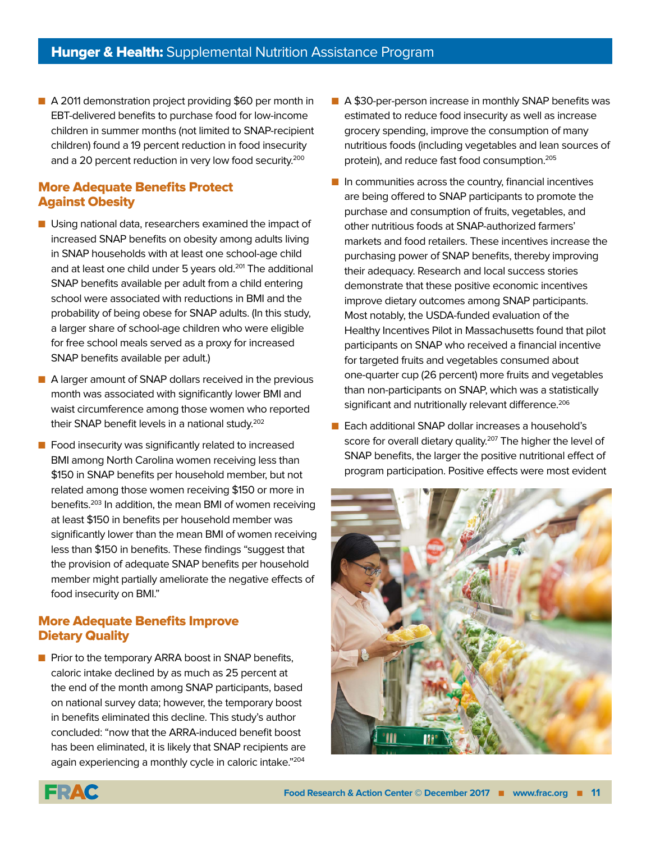■ A 2011 demonstration project providing \$60 per month in EBT-delivered benefits to purchase food for low-income children in summer months (not limited to SNAP-recipient children) found a 19 percent reduction in food insecurity and a 20 percent reduction in very low food security.<sup>200</sup>

## More Adequate Benefits Protect Against Obesity

- $\blacksquare$  Using national data, researchers examined the impact of increased SNAP benefits on obesity among adults living in SNAP households with at least one school-age child and at least one child under 5 years old.<sup>201</sup> The additional SNAP benefits available per adult from a child entering school were associated with reductions in BMI and the probability of being obese for SNAP adults. (In this study, a larger share of school-age children who were eligible for free school meals served as a proxy for increased SNAP benefits available per adult.)
- A larger amount of SNAP dollars received in the previous month was associated with significantly lower BMI and waist circumference among those women who reported their SNAP benefit levels in a national study.<sup>202</sup>
- $\blacksquare$  Food insecurity was significantly related to increased BMI among North Carolina women receiving less than \$150 in SNAP benefits per household member, but not related among those women receiving \$150 or more in benefits.203 In addition, the mean BMI of women receiving at least \$150 in benefits per household member was significantly lower than the mean BMI of women receiving less than \$150 in benefits. These findings "suggest that the provision of adequate SNAP benefits per household member might partially ameliorate the negative effects of food insecurity on BMI."

## More Adequate Benefits Improve Dietary Quality

 $\blacksquare$  Prior to the temporary ARRA boost in SNAP benefits, caloric intake declined by as much as 25 percent at the end of the month among SNAP participants, based on national survey data; however, the temporary boost in benefits eliminated this decline. This study's author concluded: "now that the ARRA-induced benefit boost has been eliminated, it is likely that SNAP recipients are again experiencing a monthly cycle in caloric intake."204

- A \$30-per-person increase in monthly SNAP benefits was estimated to reduce food insecurity as well as increase grocery spending, improve the consumption of many nutritious foods (including vegetables and lean sources of protein), and reduce fast food consumption.205
- $\blacksquare$  In communities across the country, financial incentives are being offered to SNAP participants to promote the purchase and consumption of fruits, vegetables, and other nutritious foods at SNAP-authorized farmers' markets and food retailers. These incentives increase the purchasing power of SNAP benefits, thereby improving their adequacy. Research and local success stories demonstrate that these positive economic incentives improve dietary outcomes among SNAP participants. Most notably, the USDA-funded evaluation of the Healthy Incentives Pilot in Massachusetts found that pilot participants on SNAP who received a financial incentive for targeted fruits and vegetables consumed about one-quarter cup (26 percent) more fruits and vegetables than non-participants on SNAP, which was a statistically significant and nutritionally relevant difference.<sup>206</sup>
- Each additional SNAP dollar increases a household's score for overall dietary quality.<sup>207</sup> The higher the level of SNAP benefits, the larger the positive nutritional effect of program participation. Positive effects were most evident



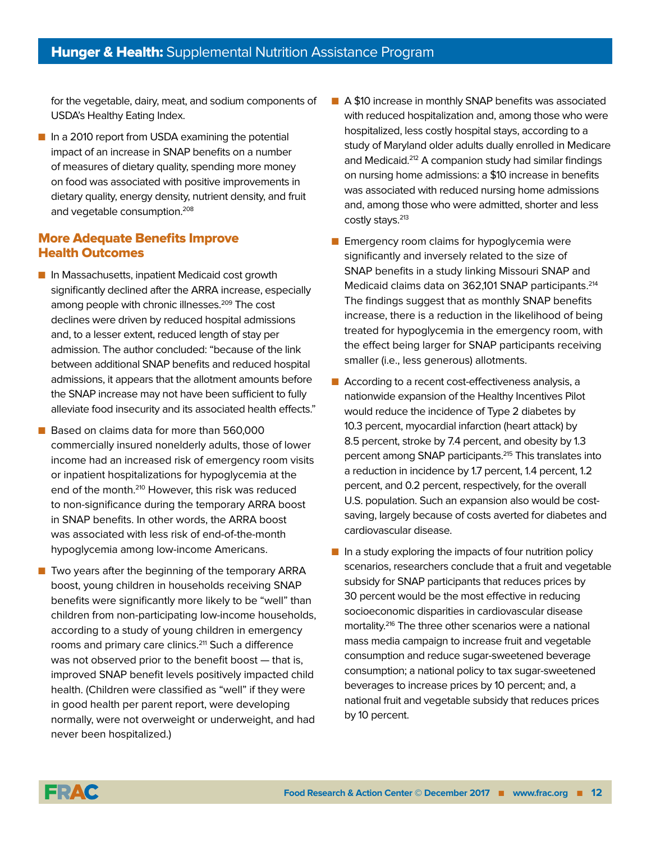for the vegetable, dairy, meat, and sodium components of USDA's Healthy Eating Index.

 $\blacksquare$  In a 2010 report from USDA examining the potential impact of an increase in SNAP benefits on a number of measures of dietary quality, spending more money on food was associated with positive improvements in dietary quality, energy density, nutrient density, and fruit and vegetable consumption.208

## More Adequate Benefits Improve Health Outcomes

- **n** In Massachusetts, inpatient Medicaid cost growth significantly declined after the ARRA increase, especially among people with chronic illnesses.<sup>209</sup> The cost declines were driven by reduced hospital admissions and, to a lesser extent, reduced length of stay per admission. The author concluded: "because of the link between additional SNAP benefits and reduced hospital admissions, it appears that the allotment amounts before the SNAP increase may not have been sufficient to fully alleviate food insecurity and its associated health effects."
- Based on claims data for more than 560,000 commercially insured nonelderly adults, those of lower income had an increased risk of emergency room visits or inpatient hospitalizations for hypoglycemia at the end of the month.210 However, this risk was reduced to non-significance during the temporary ARRA boost in SNAP benefits. In other words, the ARRA boost was associated with less risk of end-of-the-month hypoglycemia among low-income Americans.
- $\blacksquare$  Two years after the beginning of the temporary ARRA boost, young children in households receiving SNAP benefits were significantly more likely to be "well" than children from non-participating low-income households, according to a study of young children in emergency rooms and primary care clinics.<sup>211</sup> Such a difference was not observed prior to the benefit boost — that is, improved SNAP benefit levels positively impacted child health. (Children were classified as "well" if they were in good health per parent report, were developing normally, were not overweight or underweight, and had never been hospitalized.)
- A \$10 increase in monthly SNAP benefits was associated with reduced hospitalization and, among those who were hospitalized, less costly hospital stays, according to a study of Maryland older adults dually enrolled in Medicare and Medicaid.<sup>212</sup> A companion study had similar findings on nursing home admissions: a \$10 increase in benefits was associated with reduced nursing home admissions and, among those who were admitted, shorter and less costly stays.<sup>213</sup>
- $\blacksquare$  Emergency room claims for hypoglycemia were significantly and inversely related to the size of SNAP benefits in a study linking Missouri SNAP and Medicaid claims data on 362,101 SNAP participants.<sup>214</sup> The findings suggest that as monthly SNAP benefits increase, there is a reduction in the likelihood of being treated for hypoglycemia in the emergency room, with the effect being larger for SNAP participants receiving smaller (i.e., less generous) allotments.
- $\blacksquare$  According to a recent cost-effectiveness analysis, a nationwide expansion of the Healthy Incentives Pilot would reduce the incidence of Type 2 diabetes by 10.3 percent, myocardial infarction (heart attack) by 8.5 percent, stroke by 7.4 percent, and obesity by 1.3 percent among SNAP participants.<sup>215</sup> This translates into a reduction in incidence by 1.7 percent, 1.4 percent, 1.2 percent, and 0.2 percent, respectively, for the overall U.S. population. Such an expansion also would be costsaving, largely because of costs averted for diabetes and cardiovascular disease.
- $\blacksquare$  In a study exploring the impacts of four nutrition policy scenarios, researchers conclude that a fruit and vegetable subsidy for SNAP participants that reduces prices by 30 percent would be the most effective in reducing socioeconomic disparities in cardiovascular disease mortality.216 The three other scenarios were a national mass media campaign to increase fruit and vegetable consumption and reduce sugar-sweetened beverage consumption; a national policy to tax sugar-sweetened beverages to increase prices by 10 percent; and, a national fruit and vegetable subsidy that reduces prices by 10 percent.

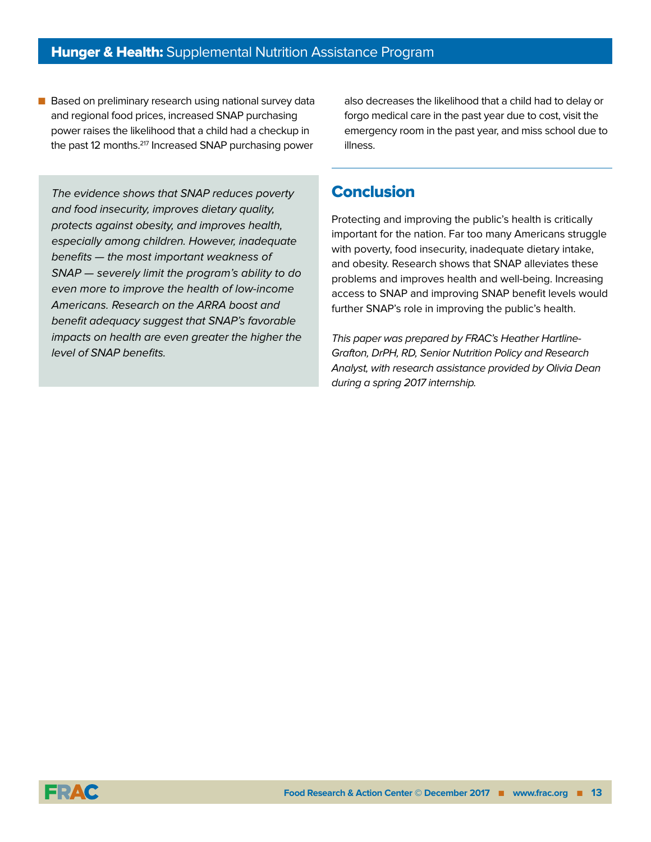$\blacksquare$  Based on preliminary research using national survey data and regional food prices, increased SNAP purchasing power raises the likelihood that a child had a checkup in the past 12 months.<sup>217</sup> Increased SNAP purchasing power

The evidence shows that SNAP reduces poverty and food insecurity, improves dietary quality, protects against obesity, and improves health, especially among children. However, inadequate benefits — the most important weakness of SNAP — severely limit the program's ability to do even more to improve the health of low-income Americans. Research on the ARRA boost and benefit adequacy suggest that SNAP's favorable impacts on health are even greater the higher the level of SNAP benefits.

also decreases the likelihood that a child had to delay or forgo medical care in the past year due to cost, visit the emergency room in the past year, and miss school due to illness.

## **Conclusion**

Protecting and improving the public's health is critically important for the nation. Far too many Americans struggle with poverty, food insecurity, inadequate dietary intake, and obesity. Research shows that SNAP alleviates these problems and improves health and well-being. Increasing access to SNAP and improving SNAP benefit levels would further SNAP's role in improving the public's health.

This paper was prepared by FRAC's Heather Hartline-Grafton, DrPH, RD, Senior Nutrition Policy and Research Analyst, with research assistance provided by Olivia Dean during a spring 2017 internship.

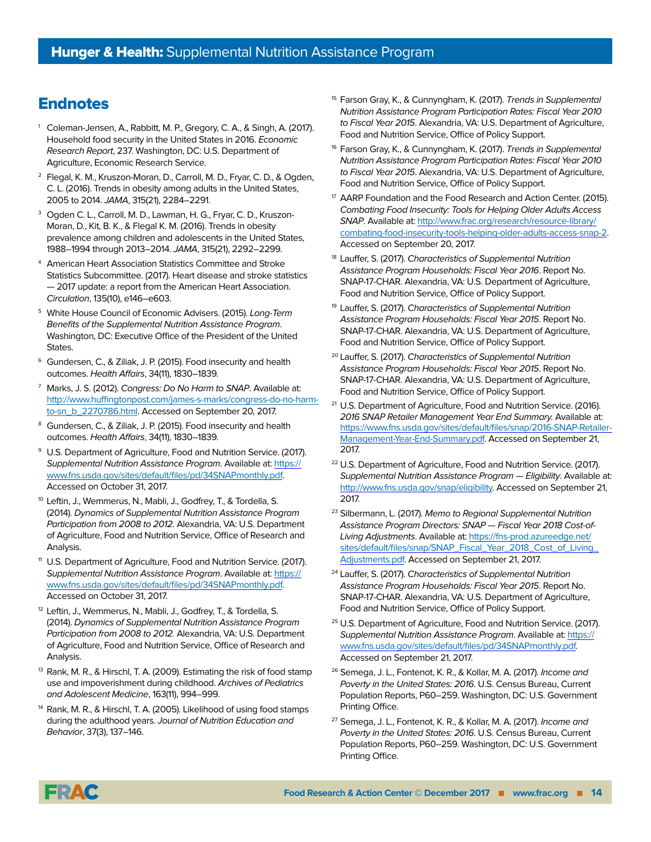## **Endnotes**

- Coleman-Jensen, A., Rabbitt, M. P., Gregory, C. A., & Singh, A. (2017). Household food security in the United States in 2016. Economic Research Report, 237. Washington, DC: U.S. Department of Agriculture, Economic Research Service.
- <sup>2</sup> Flegal, K. M., Kruszon-Moran, D., Carroll, M. D., Fryar, C. D., & Ogden, C. L. (2016). Trends in obesity among adults in the United States, 2005 to 2014. JAMA, 315(21), 2284–2291.
- Ogden C. L., Carroll, M. D., Lawman, H. G., Fryar, C. D., Kruszon-Moran, D., Kit, B. K., & Flegal K. M. (2016). Trends in obesity prevalence among children and adolescents in the United States, 1988–1994 through 2013–2014. JAMA, 315(21), 2292–2299.
- <sup>4</sup> American Heart Association Statistics Committee and Stroke Statistics Subcommittee. (2017). Heart disease and stroke statistics — 2017 update: a report from the American Heart Association. Circulation, 135(10), e146–e603.
- White House Council of Economic Advisers. (2015). Long-Term Benefits of the Supplemental Nutrition Assistance Program. Washington, DC: Executive Office of the President of the United States.
- <sup>6</sup> Gundersen, C., & Ziliak, J. P. (2015). Food insecurity and health outcomes. Health Affairs, 34(11), 1830–1839.
- Marks, J. S. (2012). Congress: Do No Harm to SNAP. Available at: http://www.huffingtonpost.com/james-s-marks/congress-do-no-harmto-sn\_b\_2270786.html. Accessed on September 20, 2017.
- Gundersen, C., & Ziliak, J. P. (2015). Food insecurity and health outcomes. Health Affairs, 34(11), 1830–1839.
- <sup>9</sup> U.S. Department of Agriculture, Food and Nutrition Service. (2017). Supplemental Nutrition Assistance Program. Available at: [https://](https://www.fns.usda.gov/sites/default/files/pd/34SNAPmonthly.pdf) [www.fns.usda.gov/sites/default/files/pd/34SNAPmonthly.pdf](https://www.fns.usda.gov/sites/default/files/pd/34SNAPmonthly.pdf). Accessed on October 31, 2017.
- <sup>10</sup> Leftin, J., Wemmerus, N., Mabli, J., Godfrey, T., & Tordella, S. (2014). Dynamics of Supplemental Nutrition Assistance Program Participation from 2008 to 2012. Alexandria, VA: U.S. Department of Agriculture, Food and Nutrition Service, Office of Research and Analysis.
- U.S. Department of Agriculture, Food and Nutrition Service. (2017). Supplemental Nutrition Assistance Program. Available at: [https://](https://www.fns.usda.gov/sites/default/files/pd/34SNAPmonthly.pdf) [www.fns.usda.gov/sites/default/files/pd/34SNAPmonthly.pdf](https://www.fns.usda.gov/sites/default/files/pd/34SNAPmonthly.pdf). Accessed on October 31, 2017.
- <sup>12</sup> Leftin, J., Wemmerus, N., Mabli, J., Godfrey, T., & Tordella, S. (2014). Dynamics of Supplemental Nutrition Assistance Program Participation from 2008 to 2012. Alexandria, VA: U.S. Department of Agriculture, Food and Nutrition Service, Office of Research and Analysis.
- <sup>13</sup> Rank, M. R., & Hirschl, T. A. (2009). Estimating the risk of food stamp use and impoverishment during childhood. Archives of Pediatrics and Adolescent Medicine, 163(11), 994–999.
- <sup>14</sup> Rank, M. R., & Hirschl, T. A. (2005). Likelihood of using food stamps during the adulthood years. Journal of Nutrition Education and Behavior, 37(3), 137–146.
- <sup>15</sup> Farson Gray, K., & Cunnyngham, K. (2017). Trends in Supplemental Nutrition Assistance Program Participation Rates: Fiscal Year 2010 to Fiscal Year 2015. Alexandria, VA: U.S. Department of Agriculture, Food and Nutrition Service, Office of Policy Support.
- <sup>16</sup> Farson Gray, K., & Cunnyngham, K. (2017). Trends in Supplemental Nutrition Assistance Program Participation Rates: Fiscal Year 2010 to Fiscal Year 2015. Alexandria, VA: U.S. Department of Agriculture, Food and Nutrition Service, Office of Policy Support.
- <sup>17</sup> AARP Foundation and the Food Research and Action Center. (2015). Combating Food Insecurity: Tools for Helping Older Adults Access SNAP. Available at: [http://www.frac.org/research/resource-library/](http://www.frac.org/research/resource-library/combating-food-insecurity-tools-helping-older-adults-access-snap-2) [combating-food-insecurity-tools-helping-older-adults-access-snap-2.](http://www.frac.org/research/resource-library/combating-food-insecurity-tools-helping-older-adults-access-snap-2) Accessed on September 20, 2017.
- <sup>18</sup> Lauffer, S. (2017). Characteristics of Supplemental Nutrition Assistance Program Households: Fiscal Year 2016. Report No. SNAP-17-CHAR. Alexandria, VA: U.S. Department of Agriculture, Food and Nutrition Service, Office of Policy Support.
- <sup>19</sup> Lauffer, S. (2017). Characteristics of Supplemental Nutrition Assistance Program Households: Fiscal Year 2015. Report No. SNAP-17-CHAR. Alexandria, VA: U.S. Department of Agriculture, Food and Nutrition Service, Office of Policy Support.
- <sup>20</sup> Lauffer, S. (2017). Characteristics of Supplemental Nutrition Assistance Program Households: Fiscal Year 2015. Report No. SNAP-17-CHAR. Alexandria, VA: U.S. Department of Agriculture, Food and Nutrition Service, Office of Policy Support.
- <sup>21</sup> U.S. Department of Agriculture, Food and Nutrition Service. (2016). 2016 SNAP Retailer Management Year End Summary. Available at: [https://www.fns.usda.gov/sites/default/files/snap/2016-SNAP-Retailer-](https://www.fns.usda.gov/sites/default/files/snap/2016-SNAP-Retailer-Management-Year-End-Summary.pdf)[Management-Year-End-Summary.pdf.](https://www.fns.usda.gov/sites/default/files/snap/2016-SNAP-Retailer-Management-Year-End-Summary.pdf) Accessed on September 21, 2017.
- <sup>22</sup> U.S. Department of Agriculture, Food and Nutrition Service. (2017). Supplemental Nutrition Assistance Program — Eligibility. Available at: <http://www.fns.usda.gov/snap/eligibility>. Accessed on September 21, 2017.
- <sup>23</sup> Silbermann, L. (2017). Memo to Regional Supplemental Nutrition Assistance Program Directors: SNAP — Fiscal Year 2018 Cost-of-Living Adjustments. Available at: [https://fns-prod.azureedge.net/](https://fns-prod.azureedge.net/sites/default/files/snap/SNAP_Fiscal_Year_2018_Cost_of_Living_Adjustments.pdf) sites/default/files/snap/SNAP\_Fiscal\_Year\_2018\_Cost\_of\_Living [Adjustments.pdf](https://fns-prod.azureedge.net/sites/default/files/snap/SNAP_Fiscal_Year_2018_Cost_of_Living_Adjustments.pdf). Accessed on September 21, 2017.
- <sup>24</sup> Lauffer, S. (2017). Characteristics of Supplemental Nutrition Assistance Program Households: Fiscal Year 2015. Report No. SNAP-17-CHAR. Alexandria, VA: U.S. Department of Agriculture, Food and Nutrition Service, Office of Policy Support.
- <sup>25</sup> U.S. Department of Agriculture, Food and Nutrition Service. (2017). Supplemental Nutrition Assistance Program. Available at: [https://](https://www.fns.usda.gov/sites/default/files/pd/34SNAPmonthly.pdf) [www.fns.usda.gov/sites/default/files/pd/34SNAPmonthly.pdf](https://www.fns.usda.gov/sites/default/files/pd/34SNAPmonthly.pdf). Accessed on September 21, 2017.
- <sup>26</sup> Semega, J. L., Fontenot, K. R., & Kollar, M. A. (2017). Income and Poverty in the United States: 2016. U.S. Census Bureau, Current Population Reports, P60–259. Washington, DC: U.S. Government Printing Office.
- <sup>27</sup> Semega, J. L., Fontenot, K. R., & Kollar, M. A. (2017). Income and Poverty in the United States: 2016. U.S. Census Bureau, Current Population Reports, P60–259. Washington, DC: U.S. Government Printing Office.

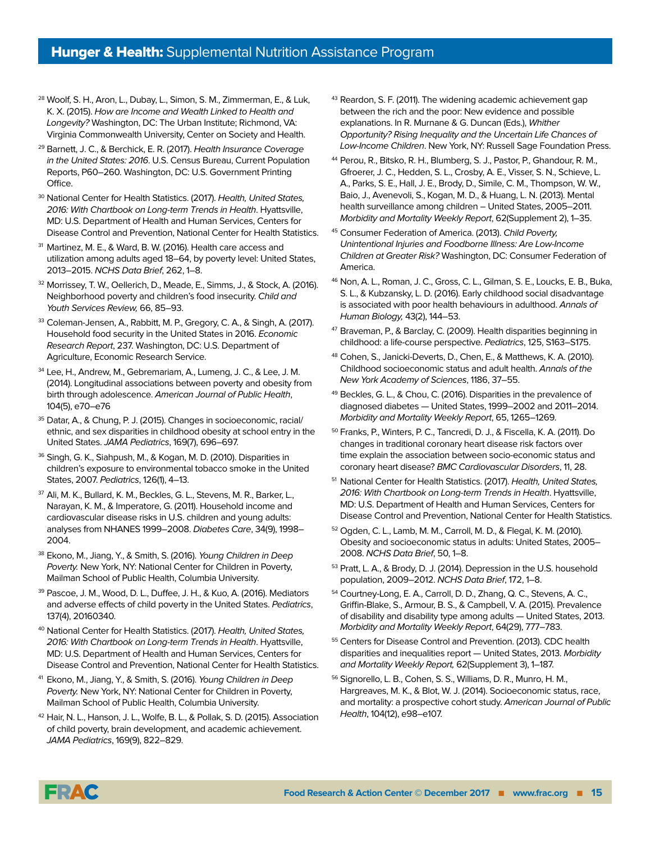- <sup>28</sup> Woolf, S. H., Aron, L., Dubay, L., Simon, S. M., Zimmerman, E., & Luk, K. X. (2015). How are Income and Wealth Linked to Health and Longevity? Washington, DC: The Urban Institute; Richmond, VA: Virginia Commonwealth University, Center on Society and Health.
- <sup>29</sup> Barnett, J. C., & Berchick, E. R. (2017). Health Insurance Coverage in the United States: 2016. U.S. Census Bureau, Current Population Reports, P60–260. Washington, DC: U.S. Government Printing **Office**
- <sup>30</sup> National Center for Health Statistics. (2017). Health, United States, 2016: With Chartbook on Long-term Trends in Health. Hyattsville, MD: U.S. Department of Health and Human Services, Centers for Disease Control and Prevention, National Center for Health Statistics.
- <sup>31</sup> Martinez, M. E., & Ward, B. W. (2016). Health care access and utilization among adults aged 18–64, by poverty level: United States, 2013–2015. NCHS Data Brief, 262, 1–8.
- <sup>32</sup> Morrissey, T. W., Oellerich, D., Meade, E., Simms, J., & Stock, A. (2016). Neighborhood poverty and children's food insecurity. Child and Youth Services Review, 66, 85–93.
- 33 Coleman-Jensen, A., Rabbitt, M. P., Gregory, C. A., & Singh, A. (2017). Household food security in the United States in 2016. Economic Research Report, 237. Washington, DC: U.S. Department of Agriculture, Economic Research Service.
- <sup>34</sup> Lee, H., Andrew, M., Gebremariam, A., Lumeng, J. C., & Lee, J. M. (2014). Longitudinal associations between poverty and obesity from birth through adolescence. American Journal of Public Health, 104(5), e70–e76
- 35 Datar, A., & Chung, P. J. (2015). Changes in socioeconomic, racial/ ethnic, and sex disparities in childhood obesity at school entry in the United States. JAMA Pediatrics, 169(7), 696–697.
- <sup>36</sup> Singh, G. K., Siahpush, M., & Kogan, M. D. (2010). Disparities in children's exposure to environmental tobacco smoke in the United States, 2007. Pediatrics, 126(1), 4–13.
- <sup>37</sup> Ali, M. K., Bullard, K. M., Beckles, G. L., Stevens, M. R., Barker, L., Narayan, K. M., & Imperatore, G. (2011). Household income and cardiovascular disease risks in U.S. children and young adults: analyses from NHANES 1999–2008. Diabetes Care, 34(9), 1998– 2004.
- <sup>38</sup> Ekono, M., Jiang, Y., & Smith, S. (2016). *Young Children in Deep* Poverty. New York, NY: National Center for Children in Poverty, Mailman School of Public Health, Columbia University.
- <sup>39</sup> Pascoe, J. M., Wood, D. L., Duffee, J. H., & Kuo, A. (2016). Mediators and adverse effects of child poverty in the United States. Pediatrics, 137(4), 20160340.
- <sup>40</sup> National Center for Health Statistics. (2017). Health, United States, 2016: With Chartbook on Long-term Trends in Health. Hyattsville, MD: U.S. Department of Health and Human Services, Centers for Disease Control and Prevention, National Center for Health Statistics.
- <sup>41</sup> Ekono, M., Jiang, Y., & Smith, S. (2016). Young Children in Deep Poverty. New York, NY: National Center for Children in Poverty, Mailman School of Public Health, Columbia University.
- 42 Hair, N. L., Hanson, J. L., Wolfe, B. L., & Pollak, S. D. (2015). Association of child poverty, brain development, and academic achievement. JAMA Pediatrics, 169(9), 822–829.
- 43 Reardon, S. F. (2011). The widening academic achievement gap between the rich and the poor: New evidence and possible explanations. In R. Murnane & G. Duncan (Eds.), Whither Opportunity? Rising Inequality and the Uncertain Life Chances of Low-Income Children. New York, NY: Russell Sage Foundation Press.
- <sup>44</sup> Perou, R., Bitsko, R. H., Blumberg, S. J., Pastor, P., Ghandour, R. M., Gfroerer, J. C., Hedden, S. L., Crosby, A. E., Visser, S. N., Schieve, L. A., Parks, S. E., Hall, J. E., Brody, D., Simile, C. M., Thompson, W. W., Baio, J., Avenevoli, S., Kogan, M. D., & Huang, L. N. (2013). Mental health surveillance among children – United States, 2005–2011. Morbidity and Mortality Weekly Report, 62(Supplement 2), 1–35.
- <sup>45</sup> Consumer Federation of America. (2013). Child Poverty, Unintentional Injuries and Foodborne Illness: Are Low-Income Children at Greater Risk? Washington, DC: Consumer Federation of America.
- <sup>46</sup> Non, A. L., Roman, J. C., Gross, C. L., Gilman, S. E., Loucks, E. B., Buka, S. L., & Kubzansky, L. D. (2016). Early childhood social disadvantage is associated with poor health behaviours in adulthood. Annals of Human Biology, 43(2), 144–53.
- <sup>47</sup> Braveman, P., & Barclay, C. (2009). Health disparities beginning in childhood: a life-course perspective. Pediatrics, 125, S163–S175.
- 48 Cohen, S., Janicki-Deverts, D., Chen, E., & Matthews, K. A. (2010). Childhood socioeconomic status and adult health. Annals of the New York Academy of Sciences, 1186, 37–55.
- 49 Beckles, G. L., & Chou, C. (2016). Disparities in the prevalence of diagnosed diabetes — United States, 1999–2002 and 2011–2014. Morbidity and Mortality Weekly Report, 65, 1265–1269.
- <sup>50</sup> Franks, P., Winters, P. C., Tancredi, D. J., & Fiscella, K. A. (2011). Do changes in traditional coronary heart disease risk factors over time explain the association between socio-economic status and coronary heart disease? BMC Cardiovascular Disorders, 11, 28.
- <sup>51</sup> National Center for Health Statistics. (2017). Health, United States, 2016: With Chartbook on Long-term Trends in Health. Hyattsville, MD: U.S. Department of Health and Human Services, Centers for Disease Control and Prevention, National Center for Health Statistics.
- <sup>52</sup> Ogden, C. L., Lamb, M. M., Carroll, M. D., & Flegal, K. M. (2010). Obesity and socioeconomic status in adults: United States, 2005– 2008. NCHS Data Brief, 50, 1–8.
- <sup>53</sup> Pratt, L. A., & Brody, D. J. (2014). Depression in the U.S. household population, 2009–2012. NCHS Data Brief, 172, 1–8.
- <sup>54</sup> Courtney-Long, E. A., Carroll, D. D., Zhang, Q. C., Stevens, A. C., Griffin-Blake, S., Armour, B. S., & Campbell, V. A. (2015). Prevalence of disability and disability type among adults — United States, 2013. Morbidity and Mortality Weekly Report, 64(29), 777–783.
- 55 Centers for Disease Control and Prevention. (2013). CDC health disparities and inequalities report — United States, 2013. Morbidity and Mortality Weekly Report, 62(Supplement 3), 1–187.
- <sup>56</sup> Signorello, L. B., Cohen, S. S., Williams, D. R., Munro, H. M., Hargreaves, M. K., & Blot, W. J. (2014). Socioeconomic status, race, and mortality: a prospective cohort study. American Journal of Public Health, 104(12), e98–e107.

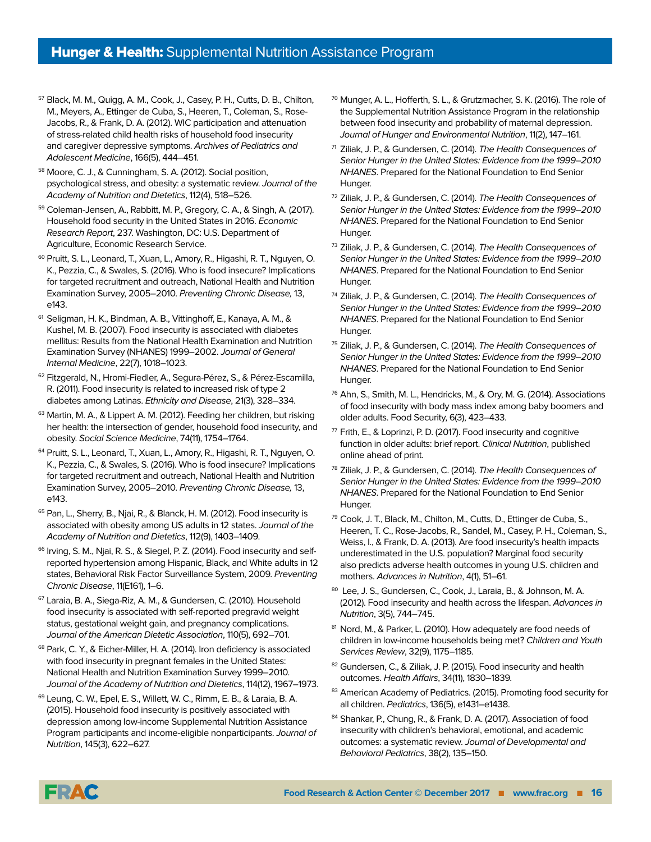- <sup>57</sup> Black, M. M., Quigg, A. M., Cook, J., Casey, P. H., Cutts, D. B., Chilton, M., Meyers, A., Ettinger de Cuba, S., Heeren, T., Coleman, S., Rose-Jacobs, R., & Frank, D. A. (2012). WIC participation and attenuation of stress-related child health risks of household food insecurity and caregiver depressive symptoms. Archives of Pediatrics and Adolescent Medicine, 166(5), 444–451.
- 58 Moore, C. J., & Cunningham, S. A. (2012). Social position, psychological stress, and obesity: a systematic review. Journal of the Academy of Nutrition and Dietetics, 112(4), 518–526.
- 59 Coleman-Jensen, A., Rabbitt, M. P., Gregory, C. A., & Singh, A. (2017). Household food security in the United States in 2016. Economic Research Report, 237. Washington, DC: U.S. Department of Agriculture, Economic Research Service.
- <sup>60</sup> Pruitt, S. L., Leonard, T., Xuan, L., Amory, R., Higashi, R. T., Nguyen, O. K., Pezzia, C., & Swales, S. (2016). Who is food insecure? Implications for targeted recruitment and outreach, National Health and Nutrition Examination Survey, 2005–2010. Preventing Chronic Disease, 13, e143.
- <sup>61</sup> Seligman, H. K., Bindman, A. B., Vittinghoff, E., Kanaya, A. M., & Kushel, M. B. (2007). Food insecurity is associated with diabetes mellitus: Results from the National Health Examination and Nutrition Examination Survey (NHANES) 1999–2002. Journal of General Internal Medicine, 22(7), 1018–1023.
- <sup>62</sup> Fitzgerald, N., Hromi-Fiedler, A., Segura-Pérez, S., & Pérez-Escamilla, R. (2011). Food insecurity is related to increased risk of type 2 diabetes among Latinas. Ethnicity and Disease, 21(3), 328–334.
- 63 Martin, M. A., & Lippert A. M. (2012). Feeding her children, but risking her health: the intersection of gender, household food insecurity, and obesity. Social Science Medicine, 74(11), 1754–1764.
- <sup>64</sup> Pruitt, S. L., Leonard, T., Xuan, L., Amory, R., Higashi, R. T., Nguyen, O. K., Pezzia, C., & Swales, S. (2016). Who is food insecure? Implications for targeted recruitment and outreach, National Health and Nutrition Examination Survey, 2005–2010. Preventing Chronic Disease, 13, e143.
- <sup>65</sup> Pan, L., Sherry, B., Njai, R., & Blanck, H. M. (2012). Food insecurity is associated with obesity among US adults in 12 states. Journal of the Academy of Nutrition and Dietetics, 112(9), 1403–1409.
- <sup>66</sup> Irving, S. M., Njai, R. S., & Siegel, P. Z. (2014). Food insecurity and selfreported hypertension among Hispanic, Black, and White adults in 12 states, Behavioral Risk Factor Surveillance System, 2009. Preventing Chronic Disease, 11(E161), 1–6.
- <sup>67</sup> Laraia, B. A., Siega-Riz, A. M., & Gundersen, C. (2010). Household food insecurity is associated with self-reported pregravid weight status, gestational weight gain, and pregnancy complications. Journal of the American Dietetic Association, 110(5), 692–701.
- 68 Park, C. Y., & Eicher-Miller, H. A. (2014). Iron deficiency is associated with food insecurity in pregnant females in the United States: National Health and Nutrition Examination Survey 1999–2010. Journal of the Academy of Nutrition and Dietetics, 114(12), 1967–1973.
- <sup>69</sup> Leung, C. W., Epel, E. S., Willett, W. C., Rimm, E. B., & Laraia, B. A. (2015). Household food insecurity is positively associated with depression among low-income Supplemental Nutrition Assistance Program participants and income-eligible nonparticipants. Journal of Nutrition, 145(3), 622–627.
- <sup>70</sup> Munger, A. L., Hofferth, S. L., & Grutzmacher, S. K. (2016). The role of the Supplemental Nutrition Assistance Program in the relationship between food insecurity and probability of maternal depression. Journal of Hunger and Environmental Nutrition, 11(2), 147–161.
- $71$  Ziliak, J. P., & Gundersen, C. (2014). The Health Consequences of Senior Hunger in the United States: Evidence from the 1999–2010 NHANES. Prepared for the National Foundation to End Senior Hunger.
- $72$  Ziliak, J. P., & Gundersen, C. (2014). The Health Consequences of Senior Hunger in the United States: Evidence from the 1999–2010 NHANES. Prepared for the National Foundation to End Senior Hunger.
- <sup>73</sup> Ziliak, J. P., & Gundersen, C. (2014). The Health Consequences of Senior Hunger in the United States: Evidence from the 1999–2010 NHANES. Prepared for the National Foundation to End Senior Hunger.
- <sup>74</sup> Ziliak, J. P., & Gundersen, C. (2014). The Health Consequences of Senior Hunger in the United States: Evidence from the 1999–2010 NHANES. Prepared for the National Foundation to End Senior Hunger.
- $75$  Ziliak, J. P., & Gundersen, C. (2014). The Health Consequences of Senior Hunger in the United States: Evidence from the 1999–2010 NHANES. Prepared for the National Foundation to End Senior Hunger.
- <sup>76</sup> Ahn, S., Smith, M. L., Hendricks, M., & Ory, M. G. (2014). Associations of food insecurity with body mass index among baby boomers and older adults. Food Security, 6(3), 423–433.
- $\frac{7}{7}$  Frith, E., & Loprinzi, P. D. (2017). Food insecurity and cognitive function in older adults: brief report. Clinical Nutrition, published online ahead of print.
- <sup>78</sup> Ziliak, J. P., & Gundersen, C. (2014). The Health Consequences of Senior Hunger in the United States: Evidence from the 1999–2010 NHANES. Prepared for the National Foundation to End Senior Hunger.
- <sup>79</sup> Cook, J. T., Black, M., Chilton, M., Cutts, D., Ettinger de Cuba, S., Heeren, T. C., Rose-Jacobs, R., Sandel, M., Casey, P. H., Coleman, S., Weiss, I., & Frank, D. A. (2013). Are food insecurity's health impacts underestimated in the U.S. population? Marginal food security also predicts adverse health outcomes in young U.S. children and mothers. Advances in Nutrition, 4(1), 51–61.
- 80 Lee, J. S., Gundersen, C., Cook, J., Laraia, B., & Johnson, M. A. (2012). Food insecurity and health across the lifespan. Advances in Nutrition, 3(5), 744–745.
- <sup>81</sup> Nord, M., & Parker, L. (2010). How adequately are food needs of children in low-income households being met? Children and Youth Services Review, 32(9), 1175–1185.
- 82 Gundersen, C., & Ziliak, J. P. (2015). Food insecurity and health outcomes. Health Affairs, 34(11), 1830–1839.
- 83 American Academy of Pediatrics. (2015). Promoting food security for all children. Pediatrics, 136(5), e1431–e1438.
- 84 Shankar, P., Chung, R., & Frank, D. A. (2017). Association of food insecurity with children's behavioral, emotional, and academic outcomes: a systematic review. Journal of Developmental and Behavioral Pediatrics, 38(2), 135–150.

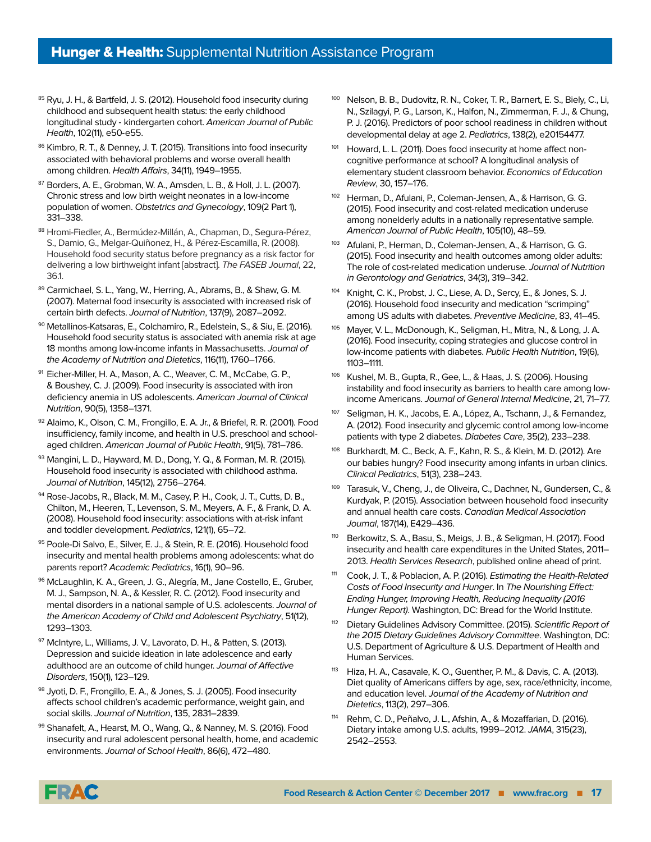- <sup>85</sup> Ryu, J. H., & Bartfeld, J. S. (2012). Household food insecurity during childhood and subsequent health status: the early childhood longitudinal study ‐ kindergarten cohort. American Journal of Public Health, 102(11), e50‐e55.
- 86 Kimbro, R. T., & Denney, J. T. (2015). Transitions into food insecurity associated with behavioral problems and worse overall health among children. Health Affairs, 34(11), 1949–1955.
- <sup>87</sup> Borders, A. E., Grobman, W. A., Amsden, L. B., & Holl, J. L. (2007). Chronic stress and low birth weight neonates in a low-income population of women. Obstetrics and Gynecology, 109(2 Part 1), 331–338.
- 88 Hromi-Fiedler, A., Bermúdez-Millán, A., Chapman, D., Segura-Pérez, S., Damio, G., Melgar-Quiñonez, H., & Pérez-Escamilla, R. (2008). Household food security status before pregnancy as a risk factor for delivering a low birthweight infant [abstract]. The FASEB Journal, 22, 36.1.
- 89 Carmichael, S. L., Yang, W., Herring, A., Abrams, B., & Shaw, G. M. (2007). Maternal food insecurity is associated with increased risk of certain birth defects. Journal of Nutrition, 137(9), 2087–2092.
- <sup>90</sup> Metallinos-Katsaras, E., Colchamiro, R., Edelstein, S., & Siu, E. (2016). Household food security status is associated with anemia risk at age 18 months among low-income infants in Massachusetts. Journal of the Academy of Nutrition and Dietetics, 116(11), 1760–1766.
- 91 Eicher-Miller, H. A., Mason, A. C., Weaver, C. M., McCabe, G. P., & Boushey, C. J. (2009). Food insecurity is associated with iron deficiency anemia in US adolescents. American Journal of Clinical Nutrition, 90(5), 1358–1371.
- 92 Alaimo, K., Olson, C. M., Frongillo, E. A. Jr., & Briefel, R. R. (2001). Food insufficiency, family income, and health in U.S. preschool and schoolaged children. American Journal of Public Health, 91(5), 781–786.
- 93 Mangini, L. D., Hayward, M. D., Dong, Y. Q., & Forman, M. R. (2015). Household food insecurity is associated with childhood asthma. Journal of Nutrition, 145(12), 2756–2764.
- 94 Rose-Jacobs, R., Black, M. M., Casey, P. H., Cook, J. T., Cutts, D. B., Chilton, M., Heeren, T., Levenson, S. M., Meyers, A. F., & Frank, D. A. (2008). Household food insecurity: associations with at-risk infant and toddler development. Pediatrics, 121(1), 65–72.
- <sup>95</sup> Poole-Di Salvo, E., Silver, E. J., & Stein, R. E. (2016). Household food insecurity and mental health problems among adolescents: what do parents report? Academic Pediatrics, 16(1), 90-96.
- <sup>96</sup> McLaughlin, K. A., Green, J. G., Alegría, M., Jane Costello, E., Gruber, M. J., Sampson, N. A., & Kessler, R. C. (2012). Food insecurity and mental disorders in a national sample of U.S. adolescents. Journal of the American Academy of Child and Adolescent Psychiatry, 51(12), 1293–1303.
- 97 McIntyre, L., Williams, J. V., Lavorato, D. H., & Patten, S. (2013). Depression and suicide ideation in late adolescence and early adulthood are an outcome of child hunger. Journal of Affective Disorders, 150(1), 123–129.
- 98 Jyoti, D. F., Frongillo, E. A., & Jones, S. J. (2005). Food insecurity affects school children's academic performance, weight gain, and social skills. Journal of Nutrition, 135, 2831–2839.
- <sup>99</sup> Shanafelt, A., Hearst, M. O., Wang, Q., & Nanney, M. S. (2016). Food insecurity and rural adolescent personal health, home, and academic environments. Journal of School Health, 86(6), 472–480.
- Nelson, B. B., Dudovitz, R. N., Coker, T. R., Barnert, E. S., Biely, C., Li, N., Szilagyi, P. G., Larson, K., Halfon, N., Zimmerman, F. J., & Chung, P. J. (2016). Predictors of poor school readiness in children without developmental delay at age 2. Pediatrics, 138(2), e20154477.
- $101$  Howard, L. L. (2011). Does food insecurity at home affect noncognitive performance at school? A longitudinal analysis of elementary student classroom behavior. Economics of Education Review, 30, 157–176.
- <sup>102</sup> Herman, D., Afulani, P., Coleman-Jensen, A., & Harrison, G. G. (2015). Food insecurity and cost-related medication underuse among nonelderly adults in a nationally representative sample. American Journal of Public Health, 105(10), 48–59.
- 103 Afulani, P., Herman, D., Coleman-Jensen, A., & Harrison, G. G. (2015). Food insecurity and health outcomes among older adults: The role of cost-related medication underuse. Journal of Nutrition in Gerontology and Geriatrics, 34(3), 319–342.
- 104 Knight, C. K., Probst, J. C., Liese, A. D., Sercy, E., & Jones, S. J. (2016). Household food insecurity and medication "scrimping" among US adults with diabetes. Preventive Medicine, 83, 41–45.
- <sup>105</sup> Mayer, V. L., McDonough, K., Seligman, H., Mitra, N., & Long, J. A. (2016). Food insecurity, coping strategies and glucose control in low-income patients with diabetes. Public Health Nutrition, 19(6), 1103–1111.
- <sup>106</sup> Kushel, M. B., Gupta, R., Gee, L., & Haas, J. S. (2006). Housing instability and food insecurity as barriers to health care among lowincome Americans. Journal of General Internal Medicine, 21, 71–77.
- Seligman, H. K., Jacobs, E. A., López, A., Tschann, J., & Fernandez, A. (2012). Food insecurity and glycemic control among low-income patients with type 2 diabetes. Diabetes Care, 35(2), 233–238.
- <sup>108</sup> Burkhardt, M. C., Beck, A. F., Kahn, R. S., & Klein, M. D. (2012). Are our babies hungry? Food insecurity among infants in urban clinics. Clinical Pediatrics, 51(3), 238–243.
- Tarasuk, V., Cheng, J., de Oliveira, C., Dachner, N., Gundersen, C., & Kurdyak, P. (2015). Association between household food insecurity and annual health care costs. Canadian Medical Association Journal, 187(14), E429–436.
- <sup>110</sup> Berkowitz, S. A., Basu, S., Meigs, J. B., & Seligman, H. (2017). Food insecurity and health care expenditures in the United States, 2011– 2013. Health Services Research, published online ahead of print.
- <sup>111</sup> Cook, J. T., & Poblacion, A. P. (2016). *Estimating the Health-Related* Costs of Food Insecurity and Hunger. In The Nourishing Effect: Ending Hunger, Improving Health, Reducing Inequality (2016 Hunger Report). Washington, DC: Bread for the World Institute.
- Dietary Guidelines Advisory Committee. (2015). Scientific Report of the 2015 Dietary Guidelines Advisory Committee. Washington, DC: U.S. Department of Agriculture & U.S. Department of Health and Human Services.
- <sup>113</sup> Hiza, H. A., Casavale, K. O., Guenther, P. M., & Davis, C. A. (2013). Diet quality of Americans differs by age, sex, race/ethnicity, income, and education level. Journal of the Academy of Nutrition and Dietetics, 113(2), 297–306.
- <sup>114</sup> Rehm, C. D., Peñalvo, J. L., Afshin, A., & Mozaffarian, D. (2016). Dietary intake among U.S. adults, 1999–2012. JAMA, 315(23), 2542–2553.

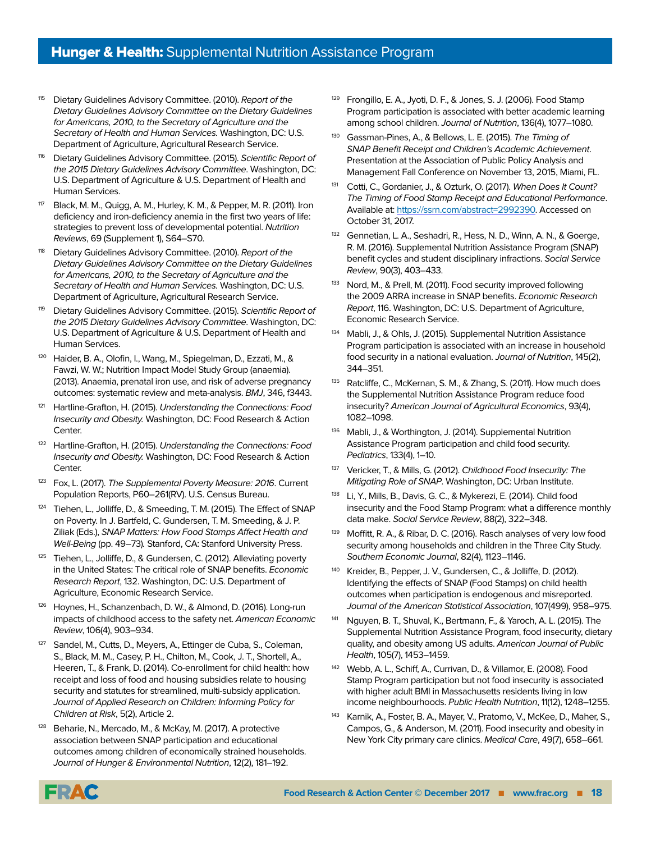- Dietary Guidelines Advisory Committee. (2010). Report of the Dietary Guidelines Advisory Committee on the Dietary Guidelines for Americans, 2010, to the Secretary of Agriculture and the Secretary of Health and Human Services. Washington, DC: U.S. Department of Agriculture, Agricultural Research Service.
- <sup>116</sup> Dietary Guidelines Advisory Committee. (2015). Scientific Report of the 2015 Dietary Guidelines Advisory Committee. Washington, DC: U.S. Department of Agriculture & U.S. Department of Health and Human Services.
- 117 Black, M. M., Quigg, A. M., Hurley, K. M., & Pepper, M. R. (2011). Iron deficiency and iron-deficiency anemia in the first two years of life: strategies to prevent loss of developmental potential. Nutrition Reviews, 69 (Supplement 1), S64–S70.
- 118 Dietary Guidelines Advisory Committee. (2010). Report of the Dietary Guidelines Advisory Committee on the Dietary Guidelines for Americans, 2010, to the Secretary of Agriculture and the Secretary of Health and Human Services. Washington, DC: U.S. Department of Agriculture, Agricultural Research Service.
- 119 Dietary Guidelines Advisory Committee. (2015). Scientific Report of the 2015 Dietary Guidelines Advisory Committee. Washington, DC: U.S. Department of Agriculture & U.S. Department of Health and Human Services.
- <sup>120</sup> Haider, B. A., Olofin, I., Wang, M., Spiegelman, D., Ezzati, M., & Fawzi, W. W.; Nutrition Impact Model Study Group (anaemia). (2013). Anaemia, prenatal iron use, and risk of adverse pregnancy outcomes: systematic review and meta-analysis. BMJ, 346, f3443.
- <sup>121</sup> Hartline-Grafton, H. (2015). Understanding the Connections: Food Insecurity and Obesity. Washington, DC: Food Research & Action Center.
- <sup>122</sup> Hartline-Grafton, H. (2015). Understanding the Connections: Food Insecurity and Obesity. Washington, DC: Food Research & Action Center.
- <sup>123</sup> Fox, L. (2017). The Supplemental Poverty Measure: 2016. Current Population Reports, P60–261(RV). U.S. Census Bureau.
- Tiehen, L., Jolliffe, D., & Smeeding, T. M. (2015). The Effect of SNAP on Poverty. In J. Bartfeld, C. Gundersen, T. M. Smeeding, & J. P. Ziliak (Eds.), SNAP Matters: How Food Stamps Affect Health and Well-Being (pp. 49–73). Stanford, CA: Stanford University Press.
- <sup>125</sup> Tiehen, L., Jolliffe, D., & Gundersen, C. (2012). Alleviating poverty in the United States: The critical role of SNAP benefits. Economic Research Report, 132. Washington, DC: U.S. Department of Agriculture, Economic Research Service.
- Hoynes, H., Schanzenbach, D. W., & Almond, D. (2016). Long-run impacts of childhood access to the safety net. American Economic Review, 106(4), 903–934.
- <sup>127</sup> Sandel, M., Cutts, D., Meyers, A., Ettinger de Cuba, S., Coleman, S., Black, M. M., Casey, P. H., Chilton, M., Cook, J. T., Shortell, A., Heeren, T., & Frank, D. (2014). Co-enrollment for child health: how receipt and loss of food and housing subsidies relate to housing security and statutes for streamlined, multi-subsidy application. Journal of Applied Research on Children: Informing Policy for Children at Risk, 5(2), Article 2.
- Beharie, N., Mercado, M., & McKay, M. (2017). A protective association between SNAP participation and educational outcomes among children of economically strained households. Journal of Hunger & Environmental Nutrition, 12(2), 181–192.
- Frongillo, E. A., Jyoti, D. F., & Jones, S. J. (2006). Food Stamp Program participation is associated with better academic learning among school children. Journal of Nutrition, 136(4), 1077–1080.
- <sup>130</sup> Gassman-Pines, A., & Bellows, L. E. (2015). The Timing of SNAP Benefit Receipt and Children's Academic Achievement. Presentation at the Association of Public Policy Analysis and Management Fall Conference on November 13, 2015, Miami, FL.
- Cotti, C., Gordanier, J., & Ozturk, O. (2017). When Does It Count? The Timing of Food Stamp Receipt and Educational Performance. Available at: [https://ssrn.com/abstract=2992390.](https://ssrn.com/abstract=2992390) Accessed on October 31, 2017.
- <sup>132</sup> Gennetian, L. A., Seshadri, R., Hess, N. D., Winn, A. N., & Goerge, R. M. (2016). Supplemental Nutrition Assistance Program (SNAP) benefit cycles and student disciplinary infractions. Social Service Review, 90(3), 403–433.
- 133 Nord, M., & Prell, M. (2011). Food security improved following the 2009 ARRA increase in SNAP benefits. Economic Research Report, 116. Washington, DC: U.S. Department of Agriculture, Economic Research Service.
- <sup>134</sup> Mabli, J., & Ohls, J. (2015). Supplemental Nutrition Assistance Program participation is associated with an increase in household food security in a national evaluation. Journal of Nutrition, 145(2), 344–351.
- <sup>135</sup> Ratcliffe, C., McKernan, S. M., & Zhang, S. (2011). How much does the Supplemental Nutrition Assistance Program reduce food insecurity? American Journal of Agricultural Economics, 93(4), 1082–1098.
- 136 Mabli, J., & Worthington, J. (2014). Supplemental Nutrition Assistance Program participation and child food security. Pediatrics, 133(4), 1–10.
- 137 Vericker, T., & Mills, G. (2012). Childhood Food Insecurity: The Mitigating Role of SNAP. Washington, DC: Urban Institute.
- <sup>138</sup> Li, Y., Mills, B., Davis, G. C., & Mykerezi, E. (2014). Child food insecurity and the Food Stamp Program: what a difference monthly data make. Social Service Review, 88(2), 322–348.
- Moffitt, R. A., & Ribar, D. C. (2016). Rasch analyses of very low food security among households and children in the Three City Study. Southern Economic Journal, 82(4), 1123–1146.
- <sup>140</sup> Kreider, B., Pepper, J. V., Gundersen, C., & Jolliffe, D. (2012). Identifying the effects of SNAP (Food Stamps) on child health outcomes when participation is endogenous and misreported. Journal of the American Statistical Association, 107(499), 958–975.
- <sup>141</sup> Nguyen, B. T., Shuval, K., Bertmann, F., & Yaroch, A. L. (2015). The Supplemental Nutrition Assistance Program, food insecurity, dietary quality, and obesity among US adults. American Journal of Public Health, 105(7), 1453–1459.
- Webb, A. L., Schiff, A., Currivan, D., & Villamor, E. (2008). Food Stamp Program participation but not food insecurity is associated with higher adult BMI in Massachusetts residents living in low income neighbourhoods. Public Health Nutrition, 11(12), 1248–1255.
- Karnik, A., Foster, B. A., Mayer, V., Pratomo, V., McKee, D., Maher, S., Campos, G., & Anderson, M. (2011). Food insecurity and obesity in New York City primary care clinics. Medical Care, 49(7), 658–661.

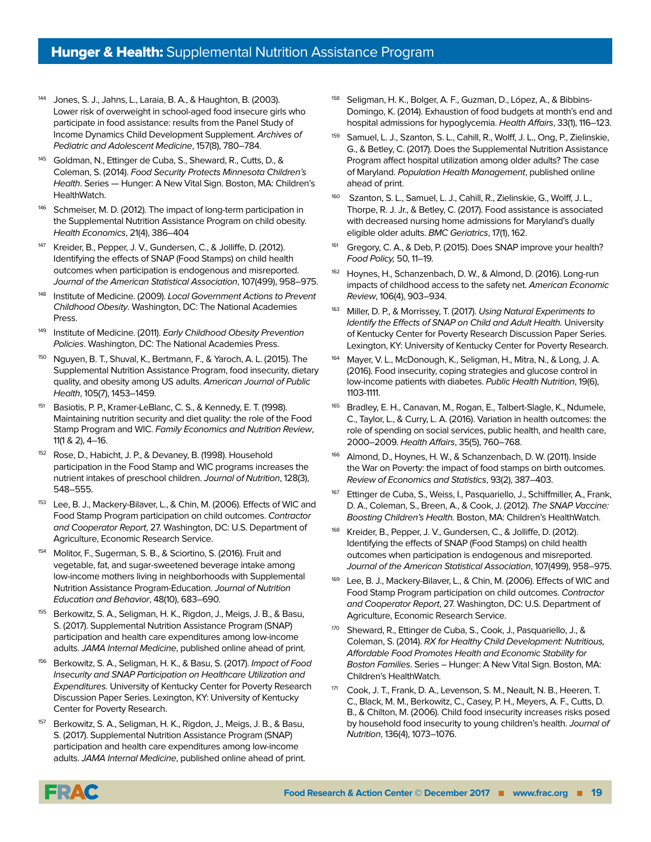- Jones, S. J., Jahns, L., Laraia, B. A., & Haughton, B. (2003). Lower risk of overweight in school-aged food insecure girls who participate in food assistance: results from the Panel Study of Income Dynamics Child Development Supplement. Archives of Pediatric and Adolescent Medicine, 157(8), 780–784.
- <sup>145</sup> Goldman, N., Ettinger de Cuba, S., Sheward, R., Cutts, D., & Coleman, S. (2014). Food Security Protects Minnesota Children's Health. Series — Hunger: A New Vital Sign. Boston, MA: Children's HealthWatch.
- 146 Schmeiser, M. D. (2012). The impact of long-term participation in the Supplemental Nutrition Assistance Program on child obesity. Health Economics, 21(4), 386–404
- <sup>147</sup> Kreider, B., Pepper, J. V., Gundersen, C., & Jolliffe, D. (2012). Identifying the effects of SNAP (Food Stamps) on child health outcomes when participation is endogenous and misreported. Journal of the American Statistical Association, 107(499), 958–975.
- Institute of Medicine. (2009). Local Government Actions to Prevent Childhood Obesity. Washington, DC: The National Academies Press.
- Institute of Medicine. (2011). Early Childhood Obesity Prevention Policies. Washington, DC: The National Academies Press.
- <sup>150</sup> Nguyen, B. T., Shuval, K., Bertmann, F., & Yaroch, A. L. (2015). The Supplemental Nutrition Assistance Program, food insecurity, dietary quality, and obesity among US adults. American Journal of Public Health, 105(7), 1453–1459.
- <sup>151</sup> Basiotis, P. P., Kramer-LeBlanc, C. S., & Kennedy, E. T. (1998). Maintaining nutrition security and diet quality: the role of the Food Stamp Program and WIC. Family Economics and Nutrition Review, 11(1 & 2), 4–16.
- <sup>152</sup> Rose, D., Habicht, J. P., & Devaney, B. (1998). Household participation in the Food Stamp and WIC programs increases the nutrient intakes of preschool children. Journal of Nutrition, 128(3), 548–555.
- 153 Lee, B. J., Mackery-Bilaver, L., & Chin, M. (2006). Effects of WIC and Food Stamp Program participation on child outcomes. Contractor and Cooperator Report, 27. Washington, DC: U.S. Department of Agriculture, Economic Research Service.
- <sup>154</sup> Molitor, F., Sugerman, S. B., & Sciortino, S. (2016). Fruit and vegetable, fat, and sugar-sweetened beverage intake among low-income mothers living in neighborhoods with Supplemental Nutrition Assistance Program-Education. Journal of Nutrition Education and Behavior, 48(10), 683–690.
- <sup>155</sup> Berkowitz, S. A., Seligman, H. K., Rigdon, J., Meigs, J. B., & Basu, S. (2017). Supplemental Nutrition Assistance Program (SNAP) participation and health care expenditures among low-income adults. JAMA Internal Medicine, published online ahead of print.
- Berkowitz, S. A., Seligman, H. K., & Basu, S. (2017). Impact of Food Insecurity and SNAP Participation on Healthcare Utilization and Expenditures. University of Kentucky Center for Poverty Research Discussion Paper Series. Lexington, KY: University of Kentucky Center for Poverty Research.
- <sup>157</sup> Berkowitz, S. A., Seligman, H. K., Rigdon, J., Meigs, J. B., & Basu, S. (2017). Supplemental Nutrition Assistance Program (SNAP) participation and health care expenditures among low-income adults. JAMA Internal Medicine, published online ahead of print.
- Seligman, H. K., Bolger, A. F., Guzman, D., López, A., & Bibbins-Domingo, K. (2014). Exhaustion of food budgets at month's end and hospital admissions for hypoglycemia. Health Affairs, 33(1), 116-123.
- <sup>159</sup> Samuel, L. J., Szanton, S. L., Cahill, R., Wolff, J. L., Ong, P., Zielinskie, G., & Betley, C. (2017). Does the Supplemental Nutrition Assistance Program affect hospital utilization among older adults? The case of Maryland. Population Health Management, published online ahead of print.
- 160 Szanton, S. L., Samuel, L. J., Cahill, R., Zielinskie, G., Wolff, J. L., Thorpe, R. J. Jr., & Betley, C. (2017). Food assistance is associated with decreased nursing home admissions for Maryland's dually eligible older adults. BMC Geriatrics, 17(1), 162.
- <sup>161</sup> Gregory, C. A., & Deb, P. (2015). Does SNAP improve your health? Food Policy, 50, 11–19.
- 162 Hoynes, H., Schanzenbach, D. W., & Almond, D. (2016). Long-run impacts of childhood access to the safety net. American Economic Review, 106(4), 903–934.
- 163 Miller, D. P., & Morrissey, T. (2017). Using Natural Experiments to Identify the Effects of SNAP on Child and Adult Health. University of Kentucky Center for Poverty Research Discussion Paper Series. Lexington, KY: University of Kentucky Center for Poverty Research.
- <sup>164</sup> Mayer, V. L., McDonough, K., Seligman, H., Mitra, N., & Long, J. A. (2016). Food insecurity, coping strategies and glucose control in low-income patients with diabetes. Public Health Nutrition, 19(6), 1103-1111.
- 165 Bradley, E. H., Canavan, M., Rogan, E., Talbert-Slagle, K., Ndumele, C., Taylor, L., & Curry, L. A. (2016). Variation in health outcomes: the role of spending on social services, public health, and health care, 2000–2009. Health Affairs, 35(5), 760–768.
- 166 Almond, D., Hoynes, H. W., & Schanzenbach, D. W. (2011). Inside the War on Poverty: the impact of food stamps on birth outcomes. Review of Economics and Statistics, 93(2), 387–403.
- <sup>167</sup> Ettinger de Cuba, S., Weiss, I., Pasquariello, J., Schiffmiller, A., Frank, D. A., Coleman, S., Breen, A., & Cook, J. (2012). The SNAP Vaccine: Boosting Children's Health. Boston, MA: Children's HealthWatch.
- 168 Kreider, B., Pepper, J. V., Gundersen, C., & Jolliffe, D. (2012). Identifying the effects of SNAP (Food Stamps) on child health outcomes when participation is endogenous and misreported. Journal of the American Statistical Association, 107(499), 958–975.
- <sup>169</sup> Lee, B. J., Mackery-Bilaver, L., & Chin, M. (2006). Effects of WIC and Food Stamp Program participation on child outcomes. Contractor and Cooperator Report, 27. Washington, DC: U.S. Department of Agriculture, Economic Research Service.
- <sup>170</sup> Sheward, R., Ettinger de Cuba, S., Cook, J., Pasquariello, J., & Coleman, S. (2014). RX for Healthy Child Development: Nutritious, Affordable Food Promotes Health and Economic Stability for Boston Families. Series – Hunger: A New Vital Sign. Boston, MA: Children's HealthWatch.
- 171 Cook, J. T., Frank, D. A., Levenson, S. M., Neault, N. B., Heeren, T. C., Black, M. M., Berkowitz, C., Casey, P. H., Meyers, A. F., Cutts, D. B., & Chilton, M. (2006). Child food insecurity increases risks posed by household food insecurity to young children's health. Journal of Nutrition, 136(4), 1073–1076.

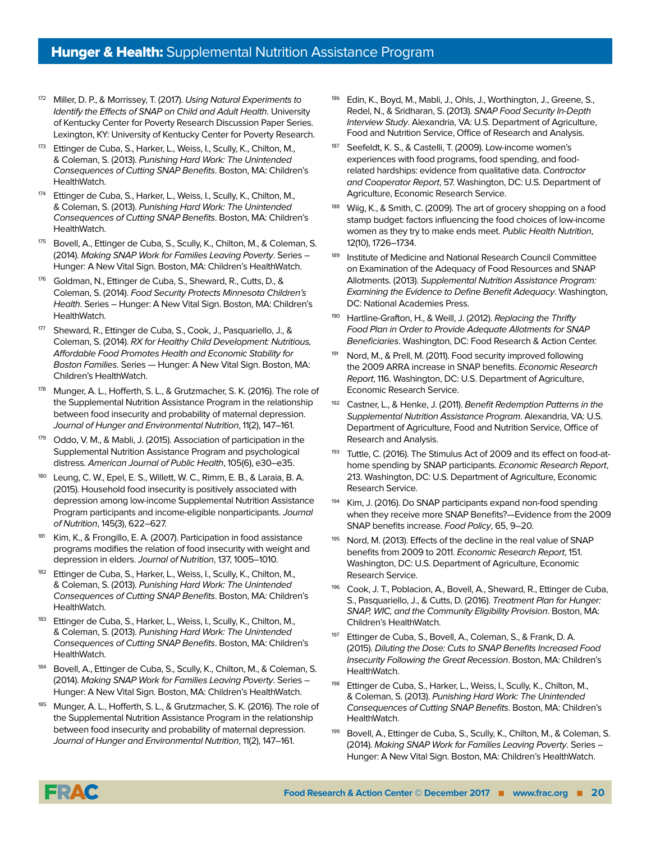- Miller, D. P., & Morrissey, T. (2017). Using Natural Experiments to Identify the Effects of SNAP on Child and Adult Health. University of Kentucky Center for Poverty Research Discussion Paper Series. Lexington, KY: University of Kentucky Center for Poverty Research.
- <sup>173</sup> Ettinger de Cuba, S., Harker, L., Weiss, I., Scully, K., Chilton, M., & Coleman, S. (2013). Punishing Hard Work: The Unintended Consequences of Cutting SNAP Benefits. Boston, MA: Children's HealthWatch.
- 174 Ettinger de Cuba, S., Harker, L., Weiss, I., Scully, K., Chilton, M., & Coleman, S. (2013). Punishing Hard Work: The Unintended Consequences of Cutting SNAP Benefits. Boston, MA: Children's HealthWatch.
- 175 Bovell, A., Ettinger de Cuba, S., Scully, K., Chilton, M., & Coleman, S. (2014). Making SNAP Work for Families Leaving Poverty. Series – Hunger: A New Vital Sign. Boston, MA: Children's HealthWatch.
- <sup>176</sup> Goldman, N., Ettinger de Cuba, S., Sheward, R., Cutts, D., & Coleman, S. (2014). Food Security Protects Minnesota Children's Health. Series – Hunger: A New Vital Sign. Boston, MA: Children's HealthWatch.
- <sup>177</sup> Sheward, R., Ettinger de Cuba, S., Cook, J., Pasquariello, J., & Coleman, S. (2014). RX for Healthy Child Development: Nutritious, Affordable Food Promotes Health and Economic Stability for Boston Families. Series — Hunger: A New Vital Sign. Boston, MA: Children's HealthWatch.
- 178 Munger, A. L., Hofferth, S. L., & Grutzmacher, S. K. (2016). The role of the Supplemental Nutrition Assistance Program in the relationship between food insecurity and probability of maternal depression. Journal of Hunger and Environmental Nutrition, 11(2), 147–161.
- 179 Oddo, V. M., & Mabli, J. (2015). Association of participation in the Supplemental Nutrition Assistance Program and psychological distress. American Journal of Public Health, 105(6), e30–e35.
- <sup>180</sup> Leung, C. W., Epel, E. S., Willett, W. C., Rimm, E. B., & Laraia, B. A. (2015). Household food insecurity is positively associated with depression among low-income Supplemental Nutrition Assistance Program participants and income-eligible nonparticipants. Journal of Nutrition, 145(3), 622–627.
- Kim, K., & Frongillo, E. A. (2007). Participation in food assistance programs modifies the relation of food insecurity with weight and depression in elders. Journal of Nutrition, 137, 1005–1010.
- Ettinger de Cuba, S., Harker, L., Weiss, I., Scully, K., Chilton, M., & Coleman, S. (2013). Punishing Hard Work: The Unintended Consequences of Cutting SNAP Benefits. Boston, MA: Children's HealthWatch.
- Ettinger de Cuba, S., Harker, L., Weiss, I., Scully, K., Chilton, M., & Coleman, S. (2013). Punishing Hard Work: The Unintended Consequences of Cutting SNAP Benefits. Boston, MA: Children's HealthWatch.
- 184 Bovell, A., Ettinger de Cuba, S., Scully, K., Chilton, M., & Coleman, S. (2014). Making SNAP Work for Families Leaving Poverty. Series – Hunger: A New Vital Sign. Boston, MA: Children's HealthWatch.
- Munger, A. L., Hofferth, S. L., & Grutzmacher, S. K. (2016). The role of the Supplemental Nutrition Assistance Program in the relationship between food insecurity and probability of maternal depression. Journal of Hunger and Environmental Nutrition, 11(2), 147–161.
- Edin, K., Boyd, M., Mabli, J., Ohls, J., Worthington, J., Greene, S., Redel, N., & Sridharan, S. (2013). SNAP Food Security In-Depth Interview Study. Alexandria, VA: U.S. Department of Agriculture, Food and Nutrition Service, Office of Research and Analysis.
- <sup>187</sup> Seefeldt, K. S., & Castelli, T. (2009). Low-income women's experiences with food programs, food spending, and foodrelated hardships: evidence from qualitative data. Contractor and Cooperator Report, 57. Washington, DC: U.S. Department of Agriculture, Economic Research Service.
- 188 Wiig, K., & Smith, C. (2009). The art of grocery shopping on a food stamp budget: factors influencing the food choices of low-income women as they try to make ends meet. Public Health Nutrition, 12(10), 1726–1734.
- 189 Institute of Medicine and National Research Council Committee on Examination of the Adequacy of Food Resources and SNAP Allotments. (2013). Supplemental Nutrition Assistance Program: Examining the Evidence to Define Benefit Adequacy. Washington, DC: National Academies Press.
- <sup>190</sup> Hartline-Grafton, H., & Weill, J. (2012). Replacing the Thrifty Food Plan in Order to Provide Adequate Allotments for SNAP Beneficiaries. Washington, DC: Food Research & Action Center.
- 191 Nord, M., & Prell, M. (2011). Food security improved following the 2009 ARRA increase in SNAP benefits. Economic Research Report, 116. Washington, DC: U.S. Department of Agriculture, Economic Research Service.
- <sup>192</sup> Castner, L., & Henke, J. (2011). Benefit Redemption Patterns in the Supplemental Nutrition Assistance Program. Alexandria, VA: U.S. Department of Agriculture, Food and Nutrition Service, Office of Research and Analysis.
- 193 Tuttle, C. (2016). The Stimulus Act of 2009 and its effect on food-athome spending by SNAP participants. Economic Research Report, 213. Washington, DC: U.S. Department of Agriculture, Economic Research Service.
- 194 Kim, J. (2016). Do SNAP participants expand non-food spending when they receive more SNAP Benefits?—Evidence from the 2009 SNAP benefits increase. Food Policy, 65, 9–20.
- 195 Nord, M. (2013). Effects of the decline in the real value of SNAP benefits from 2009 to 2011. Economic Research Report, 151. Washington, DC: U.S. Department of Agriculture, Economic Research Service.
- <sup>196</sup> Cook, J. T., Poblacion, A., Bovell, A., Sheward, R., Ettinger de Cuba, S., Pasquariello, J., & Cutts, D. (2016). Treatment Plan for Hunger: SNAP, WIC, and the Community Eligibility Provision. Boston, MA: Children's HealthWatch.
- 197 Ettinger de Cuba, S., Bovell, A., Coleman, S., & Frank, D. A. (2015). Diluting the Dose: Cuts to SNAP Benefits Increased Food Insecurity Following the Great Recession. Boston, MA: Children's HealthWatch.
- 198 Ettinger de Cuba, S., Harker, L., Weiss, I., Scully, K., Chilton, M., & Coleman, S. (2013). Punishing Hard Work: The Unintended Consequences of Cutting SNAP Benefits. Boston, MA: Children's HealthWatch.
- 199 Bovell, A., Ettinger de Cuba, S., Scully, K., Chilton, M., & Coleman, S. (2014). Making SNAP Work for Families Leaving Poverty. Series – Hunger: A New Vital Sign. Boston, MA: Children's HealthWatch.

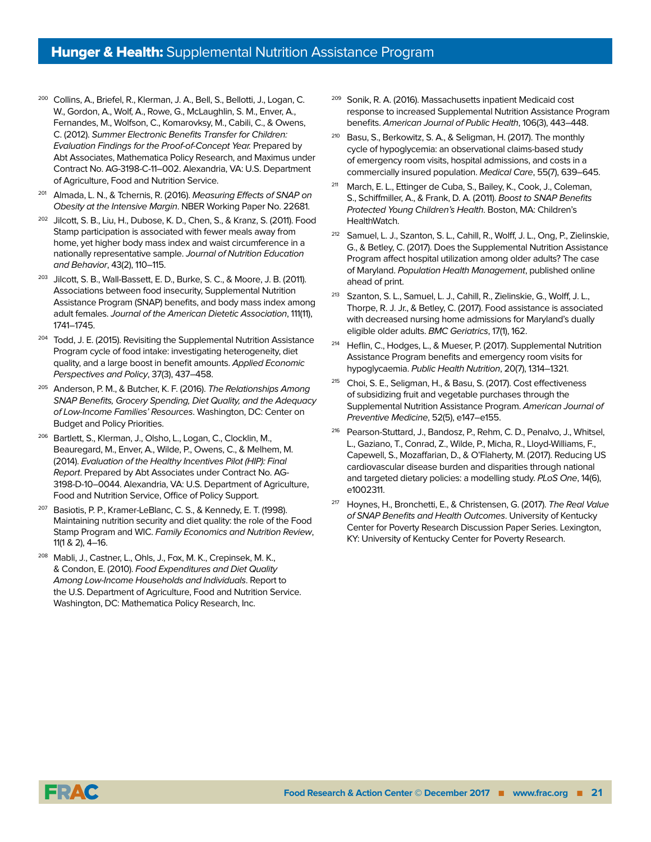- Collins, A., Briefel, R., Klerman, J. A., Bell, S., Bellotti, J., Logan, C. W., Gordon, A., Wolf, A., Rowe, G., McLaughlin, S. M., Enver, A., Fernandes, M., Wolfson, C., Komarovksy, M., Cabili, C., & Owens, C. (2012). Summer Electronic Benefits Transfer for Children: Evaluation Findings for the Proof-of-Concept Year. Prepared by Abt Associates, Mathematica Policy Research, and Maximus under Contract No. AG-3198-C-11–002. Alexandria, VA: U.S. Department of Agriculture, Food and Nutrition Service.
- Almada, L. N., & Tchernis, R. (2016). Measuring Effects of SNAP on Obesity at the Intensive Margin. NBER Working Paper No. 22681.
- <sup>202</sup> Jilcott, S. B., Liu, H., Dubose, K. D., Chen, S., & Kranz, S. (2011). Food Stamp participation is associated with fewer meals away from home, yet higher body mass index and waist circumference in a nationally representative sample. Journal of Nutrition Education and Behavior, 43(2), 110–115.
- <sup>203</sup> Jilcott, S. B., Wall-Bassett, E. D., Burke, S. C., & Moore, J. B. (2011). Associations between food insecurity, Supplemental Nutrition Assistance Program (SNAP) benefits, and body mass index among adult females. Journal of the American Dietetic Association, 111(11), 1741–1745.
- <sup>204</sup> Todd, J. E. (2015). Revisiting the Supplemental Nutrition Assistance Program cycle of food intake: investigating heterogeneity, diet quality, and a large boost in benefit amounts. Applied Economic Perspectives and Policy, 37(3), 437–458.
- <sup>205</sup> Anderson, P. M., & Butcher, K. F. (2016). The Relationships Among SNAP Benefits, Grocery Spending, Diet Quality, and the Adequacy of Low-Income Families' Resources. Washington, DC: Center on Budget and Policy Priorities.
- <sup>206</sup> Bartlett, S., Klerman, J., Olsho, L., Logan, C., Clocklin, M., Beauregard, M., Enver, A., Wilde, P., Owens, C., & Melhem, M. (2014). Evaluation of the Healthy Incentives Pilot (HIP): Final Report. Prepared by Abt Associates under Contract No. AG-3198-D-10–0044. Alexandria, VA: U.S. Department of Agriculture, Food and Nutrition Service, Office of Policy Support.
- <sup>207</sup> Basiotis, P. P., Kramer-LeBlanc, C. S., & Kennedy, E. T. (1998). Maintaining nutrition security and diet quality: the role of the Food Stamp Program and WIC. Family Economics and Nutrition Review, 11(1 & 2), 4–16.
- <sup>208</sup> Mabli, J., Castner, L., Ohls, J., Fox, M. K., Crepinsek, M. K., & Condon, E. (2010). Food Expenditures and Diet Quality Among Low-Income Households and Individuals. Report to the U.S. Department of Agriculture, Food and Nutrition Service. Washington, DC: Mathematica Policy Research, Inc.
- <sup>209</sup> Sonik, R. A. (2016). Massachusetts inpatient Medicaid cost response to increased Supplemental Nutrition Assistance Program benefits. American Journal of Public Health, 106(3), 443–448.
- <sup>210</sup> Basu, S., Berkowitz, S. A., & Seligman, H. (2017). The monthly cycle of hypoglycemia: an observational claims-based study of emergency room visits, hospital admissions, and costs in a commercially insured population. Medical Care, 55(7), 639–645.
- March, E. L., Ettinger de Cuba, S., Bailey, K., Cook, J., Coleman, S., Schiffmiller, A., & Frank, D. A. (2011). Boost to SNAP Benefits Protected Young Children's Health. Boston, MA: Children's **HealthWatch**
- <sup>212</sup> Samuel, L. J., Szanton, S. L., Cahill, R., Wolff, J. L., Ong, P., Zielinskie, G., & Betley, C. (2017). Does the Supplemental Nutrition Assistance Program affect hospital utilization among older adults? The case of Maryland. Population Health Management, published online ahead of print.
- <sup>213</sup> Szanton, S. L., Samuel, L. J., Cahill, R., Zielinskie, G., Wolff, J. L., Thorpe, R. J. Jr., & Betley, C. (2017). Food assistance is associated with decreased nursing home admissions for Maryland's dually eligible older adults. BMC Geriatrics, 17(1), 162.
- <sup>214</sup> Heflin, C., Hodges, L., & Mueser, P. (2017). Supplemental Nutrition Assistance Program benefits and emergency room visits for hypoglycaemia. Public Health Nutrition, 20(7), 1314–1321.
- <sup>215</sup> Choi, S. E., Seligman, H., & Basu, S. (2017). Cost effectiveness of subsidizing fruit and vegetable purchases through the Supplemental Nutrition Assistance Program. American Journal of Preventive Medicine, 52(5), e147–e155.
- <sup>216</sup> Pearson-Stuttard, J., Bandosz, P., Rehm, C. D., Penalvo, J., Whitsel, L., Gaziano, T., Conrad, Z., Wilde, P., Micha, R., Lloyd-Williams, F., Capewell, S., Mozaffarian, D., & O'Flaherty, M. (2017). Reducing US cardiovascular disease burden and disparities through national and targeted dietary policies: a modelling study. PLoS One, 14(6), e1002311.
- <sup>217</sup> Hoynes, H., Bronchetti, E., & Christensen, G. (2017). The Real Value of SNAP Benefits and Health Outcomes. University of Kentucky Center for Poverty Research Discussion Paper Series. Lexington, KY: University of Kentucky Center for Poverty Research.

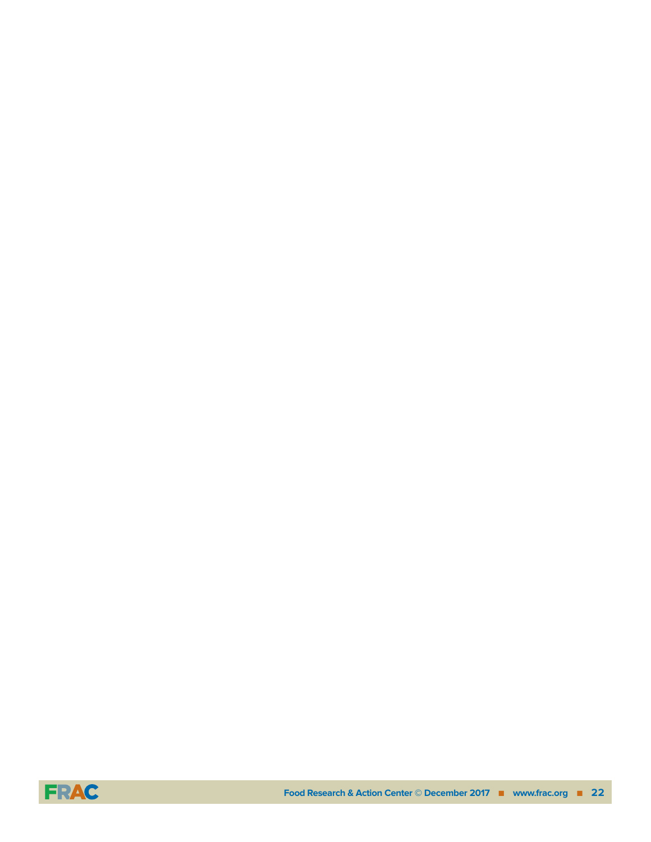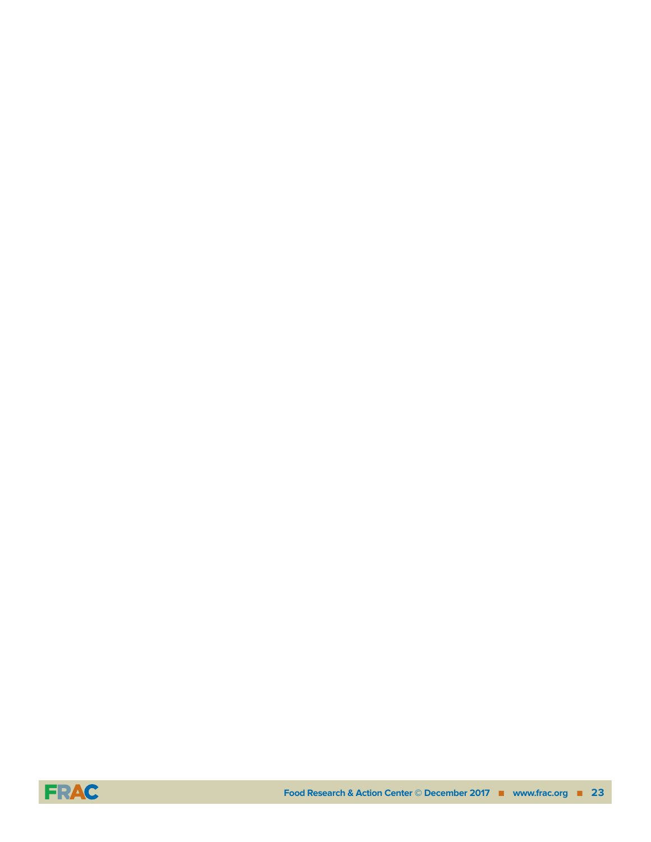